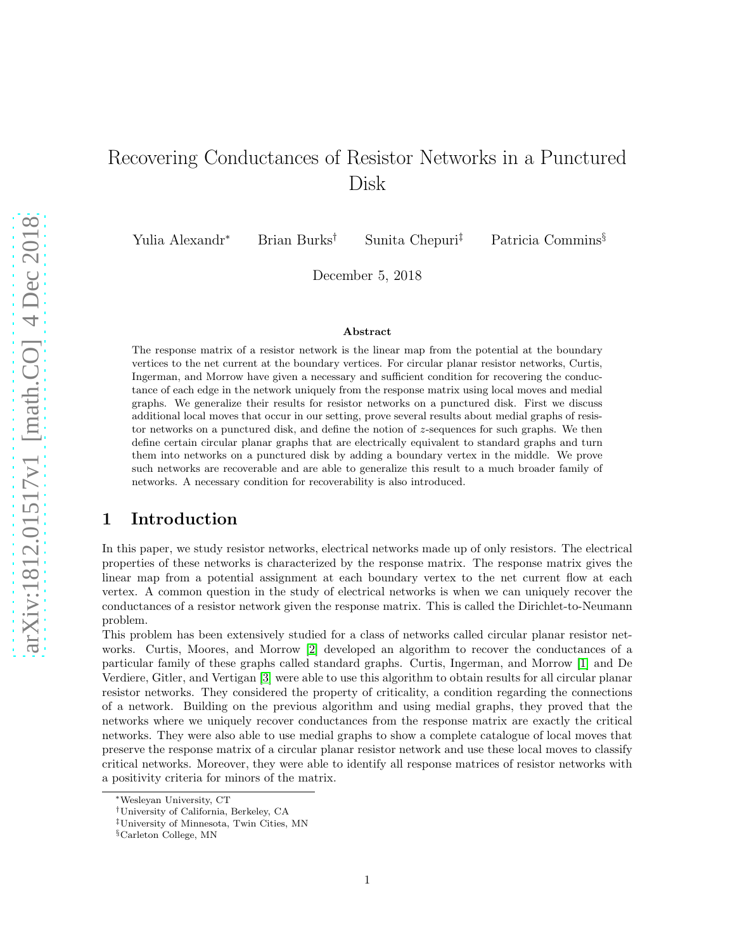# Recovering Conductances of Resistor Networks in a Punctured Disk

Yulia Alexandr<sup>∗</sup> Brian Burks† Sunita Chepuri‡ Patricia Commins§

December 5, 2018

#### Abstract

The response matrix of a resistor network is the linear map from the potential at the boundary vertices to the net current at the boundary vertices. For circular planar resistor networks, Curtis, Ingerman, and Morrow have given a necessary and sufficient condition for recovering the conductance of each edge in the network uniquely from the response matrix using local moves and medial graphs. We generalize their results for resistor networks on a punctured disk. First we discuss additional local moves that occur in our setting, prove several results about medial graphs of resistor networks on a punctured disk, and define the notion of z-sequences for such graphs. We then define certain circular planar graphs that are electrically equivalent to standard graphs and turn them into networks on a punctured disk by adding a boundary vertex in the middle. We prove such networks are recoverable and are able to generalize this result to a much broader family of networks. A necessary condition for recoverability is also introduced.

# 1 Introduction

In this paper, we study resistor networks, electrical networks made up of only resistors. The electrical properties of these networks is characterized by the response matrix. The response matrix gives the linear map from a potential assignment at each boundary vertex to the net current flow at each vertex. A common question in the study of electrical networks is when we can uniquely recover the conductances of a resistor network given the response matrix. This is called the Dirichlet-to-Neumann problem.

This problem has been extensively studied for a class of networks called circular planar resistor networks. Curtis, Moores, and Morrow [\[2\]](#page-25-0) developed an algorithm to recover the conductances of a particular family of these graphs called standard graphs. Curtis, Ingerman, and Morrow [\[1\]](#page-25-1) and De Verdiere, Gitler, and Vertigan [\[3\]](#page-25-2) were able to use this algorithm to obtain results for all circular planar resistor networks. They considered the property of criticality, a condition regarding the connections of a network. Building on the previous algorithm and using medial graphs, they proved that the networks where we uniquely recover conductances from the response matrix are exactly the critical networks. They were also able to use medial graphs to show a complete catalogue of local moves that preserve the response matrix of a circular planar resistor network and use these local moves to classify critical networks. Moreover, they were able to identify all response matrices of resistor networks with a positivity criteria for minors of the matrix.

<sup>∗</sup>Wesleyan University, CT

<sup>†</sup>University of California, Berkeley, CA

<sup>‡</sup>University of Minnesota, Twin Cities, MN

<sup>§</sup>Carleton College, MN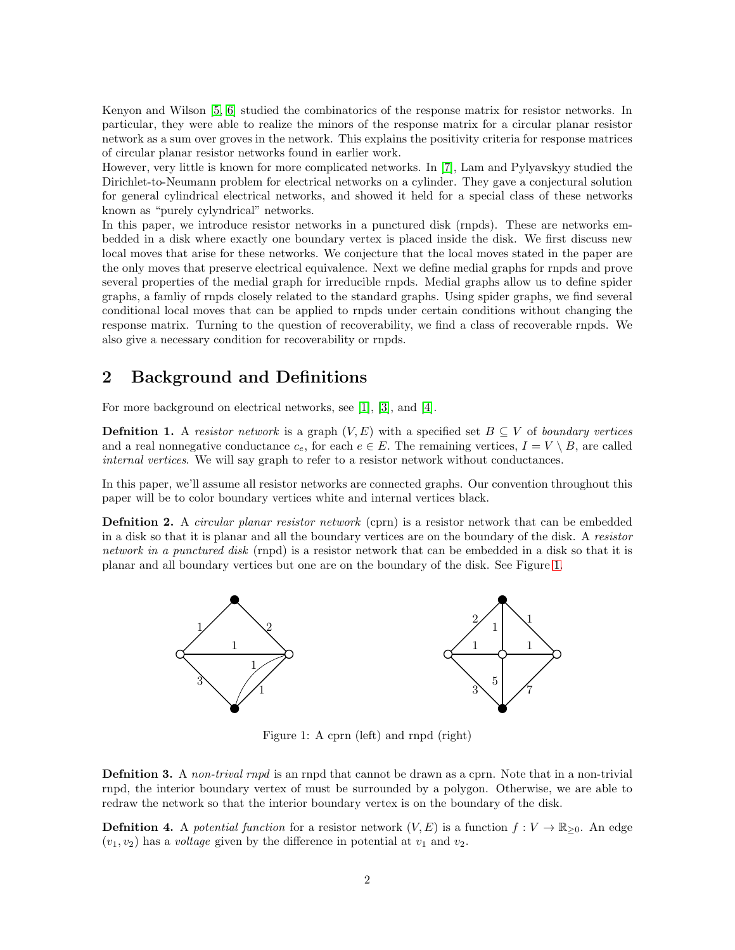Kenyon and Wilson [\[5,](#page-25-3) [6\]](#page-25-4) studied the combinatorics of the response matrix for resistor networks. In particular, they were able to realize the minors of the response matrix for a circular planar resistor network as a sum over groves in the network. This explains the positivity criteria for response matrices of circular planar resistor networks found in earlier work.

However, very little is known for more complicated networks. In [\[7\]](#page-25-5), Lam and Pylyavskyy studied the Dirichlet-to-Neumann problem for electrical networks on a cylinder. They gave a conjectural solution for general cylindrical electrical networks, and showed it held for a special class of these networks known as "purely cylyndrical" networks.

In this paper, we introduce resistor networks in a punctured disk (rnpds). These are networks embedded in a disk where exactly one boundary vertex is placed inside the disk. We first discuss new local moves that arise for these networks. We conjecture that the local moves stated in the paper are the only moves that preserve electrical equivalence. Next we define medial graphs for rnpds and prove several properties of the medial graph for irreducible rnpds. Medial graphs allow us to define spider graphs, a famliy of rnpds closely related to the standard graphs. Using spider graphs, we find several conditional local moves that can be applied to rnpds under certain conditions without changing the response matrix. Turning to the question of recoverability, we find a class of recoverable rnpds. We also give a necessary condition for recoverability or rnpds.

# 2 Background and Definitions

For more background on electrical networks, see [\[1\]](#page-25-1), [\[3\]](#page-25-2), and [\[4\]](#page-25-6).

**Defnition 1.** A resistor network is a graph  $(V, E)$  with a specified set  $B \subseteq V$  of boundary vertices and a real nonnegative conductance  $c_e$ , for each  $e \in E$ . The remaining vertices,  $I = V \setminus B$ , are called internal vertices. We will say graph to refer to a resistor network without conductances.

In this paper, we'll assume all resistor networks are connected graphs. Our convention throughout this paper will be to color boundary vertices white and internal vertices black.

**Definition 2.** A *circular planar resistor network* (cprn) is a resistor network that can be embedded in a disk so that it is planar and all the boundary vertices are on the boundary of the disk. A resistor network in a punctured disk (rnpd) is a resistor network that can be embedded in a disk so that it is planar and all boundary vertices but one are on the boundary of the disk. See Figure [1.](#page-1-0)



<span id="page-1-0"></span>Figure 1: A cprn (left) and rnpd (right)

**Definition 3.** A non-trival rnpd is an rnpd that cannot be drawn as a cprn. Note that in a non-trivial rnpd, the interior boundary vertex of must be surrounded by a polygon. Otherwise, we are able to redraw the network so that the interior boundary vertex is on the boundary of the disk.

**Definition 4.** A potential function for a resistor network  $(V, E)$  is a function  $f: V \to \mathbb{R}_{\geq 0}$ . An edge  $(v_1, v_2)$  has a *voltage* given by the difference in potential at  $v_1$  and  $v_2$ .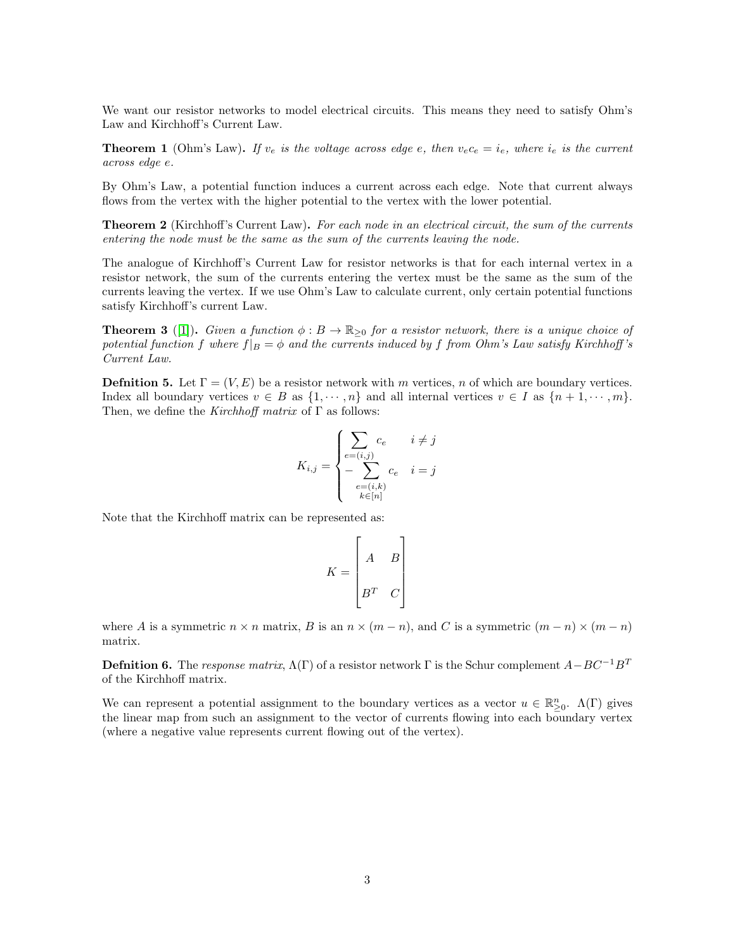We want our resistor networks to model electrical circuits. This means they need to satisfy Ohm's Law and Kirchhoff's Current Law.

**Theorem 1** (Ohm's Law). If  $v_e$  is the voltage across edge e, then  $v_e c_e = i_e$ , where  $i_e$  is the current across edge e.

By Ohm's Law, a potential function induces a current across each edge. Note that current always flows from the vertex with the higher potential to the vertex with the lower potential.

**Theorem 2** (Kirchhoff's Current Law). For each node in an electrical circuit, the sum of the currents entering the node must be the same as the sum of the currents leaving the node.

The analogue of Kirchhoff's Current Law for resistor networks is that for each internal vertex in a resistor network, the sum of the currents entering the vertex must be the same as the sum of the currents leaving the vertex. If we use Ohm's Law to calculate current, only certain potential functions satisfy Kirchhoff's current Law.

**Theorem 3** ([\[1\]](#page-25-1)). Given a function  $\phi : B \to \mathbb{R}_{>0}$  for a resistor network, there is a unique choice of potential function f where  $f|_B = \phi$  and the currents induced by f from Ohm's Law satisfy Kirchhoff's Current Law.

**Defnition 5.** Let  $\Gamma = (V, E)$  be a resistor network with m vertices, n of which are boundary vertices. Index all boundary vertices  $v \in B$  as  $\{1, \dots, n\}$  and all internal vertices  $v \in I$  as  $\{n+1, \dots, m\}$ . Then, we define the *Kirchhoff matrix* of  $\Gamma$  as follows:

$$
K_{i,j} = \begin{cases} \sum_{e=(i,j)} c_e & i \neq j \\ -\sum_{e=(i,k)} c_e & i = j \\ \sum_{k \in [n]} c_k & i \neq j \end{cases}
$$

Note that the Kirchhoff matrix can be represented as:

$$
K = \begin{bmatrix} A & B \\ B^T & C \end{bmatrix}
$$

where A is a symmetric  $n \times n$  matrix, B is an  $n \times (m - n)$ , and C is a symmetric  $(m - n) \times (m - n)$ matrix.

**Defnition 6.** The response matrix,  $\Lambda(\Gamma)$  of a resistor network  $\Gamma$  is the Schur complement  $A-BC^{-1}B^{T}$ of the Kirchhoff matrix.

We can represent a potential assignment to the boundary vertices as a vector  $u \in \mathbb{R}^n_{\geq 0}$ .  $\Lambda(\Gamma)$  gives the linear map from such an assignment to the vector of currents flowing into each boundary vertex (where a negative value represents current flowing out of the vertex).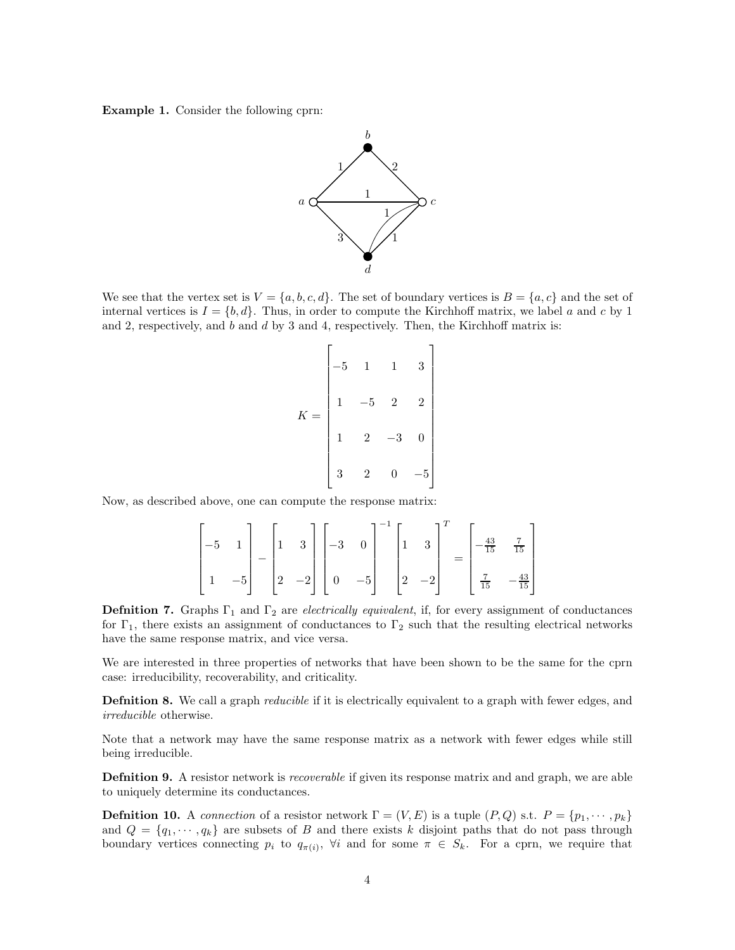Example 1. Consider the following cprn:



We see that the vertex set is  $V = \{a, b, c, d\}$ . The set of boundary vertices is  $B = \{a, c\}$  and the set of internal vertices is  $I = \{b, d\}$ . Thus, in order to compute the Kirchhoff matrix, we label a and c by 1 and 2, respectively, and  $b$  and  $d$  by 3 and 4, respectively. Then, the Kirchhoff matrix is:

| K | 5 | 1              | $\mathbf{1}$   | 3              |
|---|---|----------------|----------------|----------------|
|   |   | 5              | $\overline{2}$ | $\overline{2}$ |
|   |   | $\overline{2}$ | 2              | 0              |
|   | 3 | $\overline{2}$ | 0              |                |

Now, as described above, one can compute the response matrix:

$$
\begin{bmatrix} -5 & 1 \ 1 & -5 \end{bmatrix} - \begin{bmatrix} 1 & 3 \ 2 & -2 \end{bmatrix} \begin{bmatrix} -3 & 0 \ 0 & -5 \end{bmatrix}^{-1} \begin{bmatrix} 1 & 3 \ 2 & -2 \end{bmatrix}^{T} = \begin{bmatrix} -\frac{43}{15} & \frac{7}{15} \\ \frac{7}{15} & -\frac{43}{15} \end{bmatrix}
$$

**Definition 7.** Graphs  $\Gamma_1$  and  $\Gamma_2$  are *electrically equivalent*, if, for every assignment of conductances for  $\Gamma_1$ , there exists an assignment of conductances to  $\Gamma_2$  such that the resulting electrical networks have the same response matrix, and vice versa.

We are interested in three properties of networks that have been shown to be the same for the cprn case: irreducibility, recoverability, and criticality.

**Defnition 8.** We call a graph *reducible* if it is electrically equivalent to a graph with fewer edges, and irreducible otherwise.

Note that a network may have the same response matrix as a network with fewer edges while still being irreducible.

Definition 9. A resistor network is *recoverable* if given its response matrix and and graph, we are able to uniquely determine its conductances.

**Defnition 10.** A connection of a resistor network  $\Gamma = (V, E)$  is a tuple  $(P, Q)$  s.t.  $P = \{p_1, \dots, p_k\}$ and  $Q = \{q_1, \dots, q_k\}$  are subsets of B and there exists k disjoint paths that do not pass through boundary vertices connecting  $p_i$  to  $q_{\pi(i)}$ ,  $\forall i$  and for some  $\pi \in S_k$ . For a cprn, we require that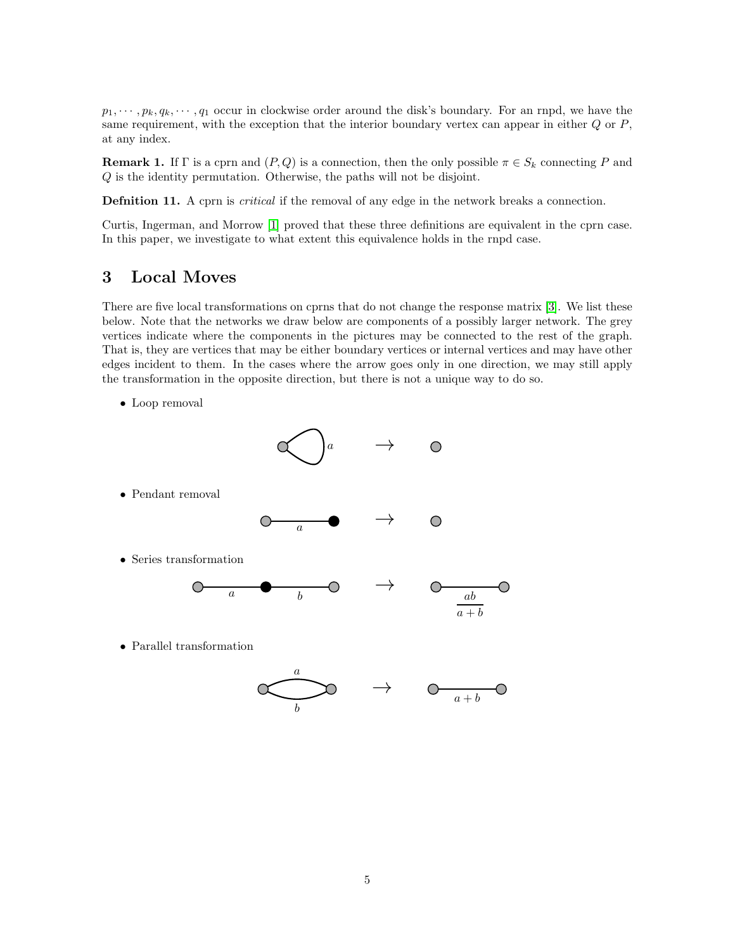$p_1, \dots, p_k, q_k, \dots, q_1$  occur in clockwise order around the disk's boundary. For an rnpd, we have the same requirement, with the exception that the interior boundary vertex can appear in either  $Q$  or  $P$ , at any index.

**Remark 1.** If Γ is a cprn and  $(P,Q)$  is a connection, then the only possible  $\pi \in S_k$  connecting P and Q is the identity permutation. Otherwise, the paths will not be disjoint.

**Defnition 11.** A cprn is *critical* if the removal of any edge in the network breaks a connection.

Curtis, Ingerman, and Morrow [\[1\]](#page-25-1) proved that these three definitions are equivalent in the cprn case. In this paper, we investigate to what extent this equivalence holds in the rnpd case.

#### 3 Local Moves

There are five local transformations on cprns that do not change the response matrix [\[3\]](#page-25-2). We list these below. Note that the networks we draw below are components of a possibly larger network. The grey vertices indicate where the components in the pictures may be connected to the rest of the graph. That is, they are vertices that may be either boundary vertices or internal vertices and may have other edges incident to them. In the cases where the arrow goes only in one direction, we may still apply the transformation in the opposite direction, but there is not a unique way to do so.

• Loop removal

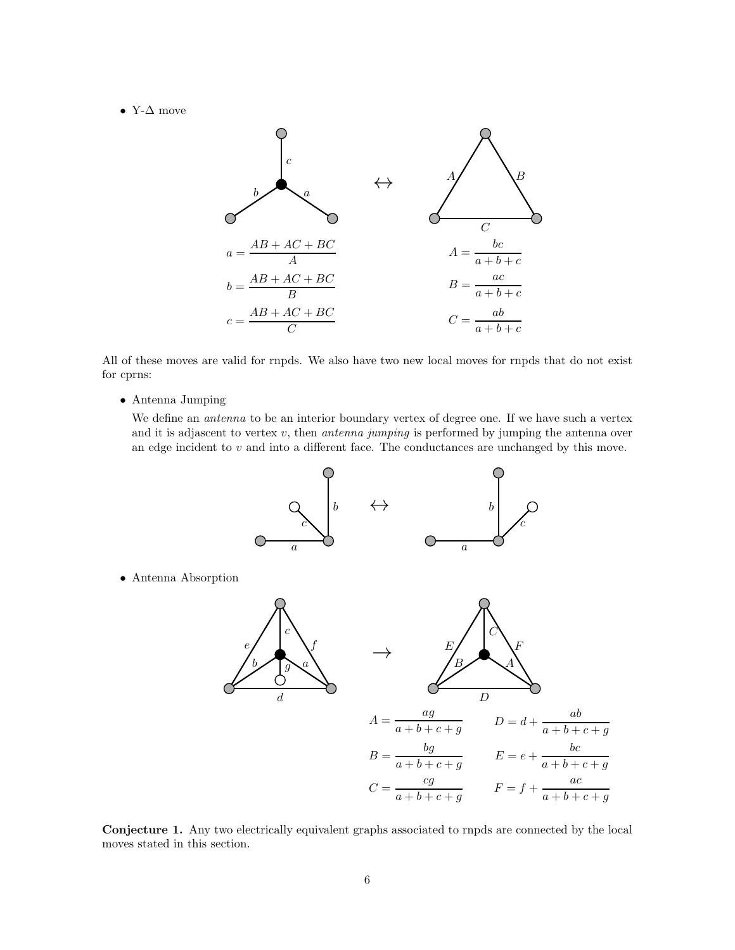• Y- $\Delta$  move



All of these moves are valid for rnpds. We also have two new local moves for rnpds that do not exist for cprns:

• Antenna Jumping

We define an *antenna* to be an interior boundary vertex of degree one. If we have such a vertex and it is adjascent to vertex  $v$ , then *antenna jumping* is performed by jumping the antenna over an edge incident to  $v$  and into a different face. The conductances are unchanged by this move.



Conjecture 1. Any two electrically equivalent graphs associated to rnpds are connected by the local moves stated in this section.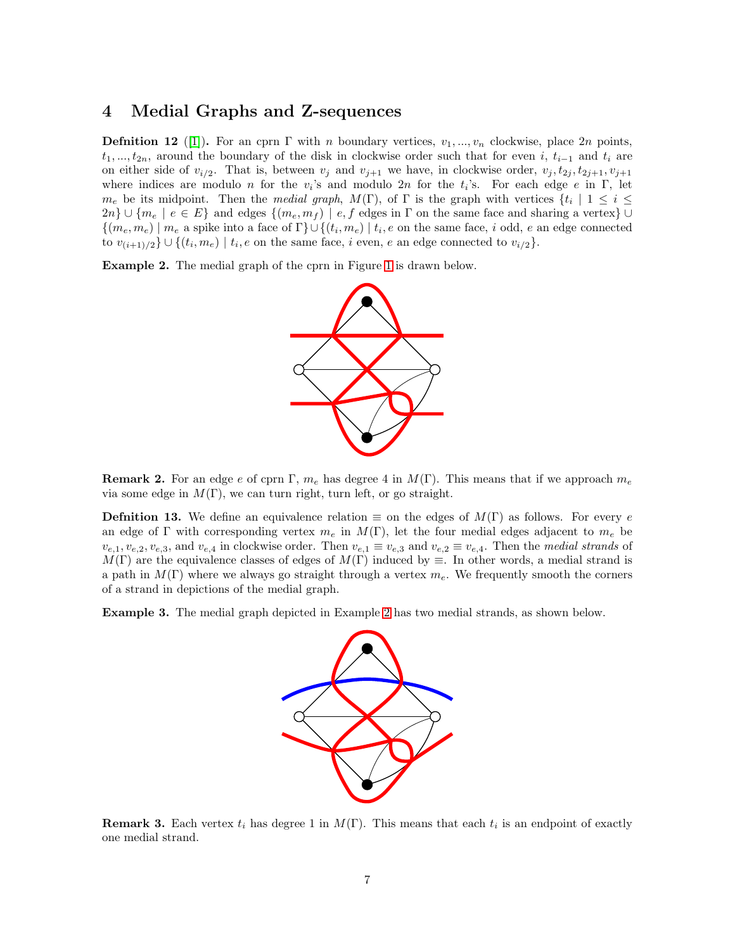#### 4 Medial Graphs and Z-sequences

**Defnition 12** ([\[1\]](#page-25-1)). For an cprn  $\Gamma$  with n boundary vertices,  $v_1, ..., v_n$  clockwise, place 2n points,  $t_1, ..., t_{2n}$ , around the boundary of the disk in clockwise order such that for even i,  $t_{i-1}$  and  $t_i$  are on either side of  $v_{i/2}$ . That is, between  $v_j$  and  $v_{j+1}$  we have, in clockwise order,  $v_j, t_{2j}, t_{2j+1}, v_{j+1}$ where indices are modulo *n* for the  $v_i$ 's and modulo 2*n* for the  $t_i$ 's. For each edge *e* in  $\Gamma$ , let  $m_e$  be its midpoint. Then the *medial graph*,  $M(\Gamma)$ , of  $\Gamma$  is the graph with vertices  $\{t_i \mid 1 \leq i \leq n\}$  $2n\} \cup \{m_e \mid e \in E\}$  and edges  $\{(m_e, m_f) \mid e, f \text{ edges in } \Gamma \text{ on the same face and sharing a vertex}\} \cup$  $\{(m_e, m_e) \mid m_e \text{ a spike into a face of } \Gamma\} \cup \{(t_i, m_e) \mid t_i, e \text{ on the same face}, i \text{ odd}, e \text{ an edge connected} \}$ to  $v_{(i+1)/2}$   $\cup$   $\{(t_i, m_e) \mid t_i, e$  on the same face, i even, e an edge connected to  $v_{i/2}$ .

<span id="page-6-0"></span>Example 2. The medial graph of the cprn in Figure [1](#page-1-0) is drawn below.



**Remark 2.** For an edge e of cprn  $\Gamma$ ,  $m_e$  has degree 4 in  $M(\Gamma)$ . This means that if we approach  $m_e$ via some edge in  $M(\Gamma)$ , we can turn right, turn left, or go straight.

**Defnition 13.** We define an equivalence relation  $\equiv$  on the edges of  $M(\Gamma)$  as follows. For every e an edge of Γ with corresponding vertex  $m_e$  in  $M(\Gamma)$ , let the four medial edges adjacent to  $m_e$  be  $v_{e,1}, v_{e,2}, v_{e,3}$ , and  $v_{e,4}$  in clockwise order. Then  $v_{e,1} \equiv v_{e,3}$  and  $v_{e,2} \equiv v_{e,4}$ . Then the medial strands of  $M(\Gamma)$  are the equivalence classes of edges of  $M(\Gamma)$  induced by  $\equiv$ . In other words, a medial strand is a path in  $M(\Gamma)$  where we always go straight through a vertex  $m_e$ . We frequently smooth the corners of a strand in depictions of the medial graph.

Example 3. The medial graph depicted in Example [2](#page-6-0) has two medial strands, as shown below.



**Remark 3.** Each vertex  $t_i$  has degree 1 in  $M(\Gamma)$ . This means that each  $t_i$  is an endpoint of exactly one medial strand.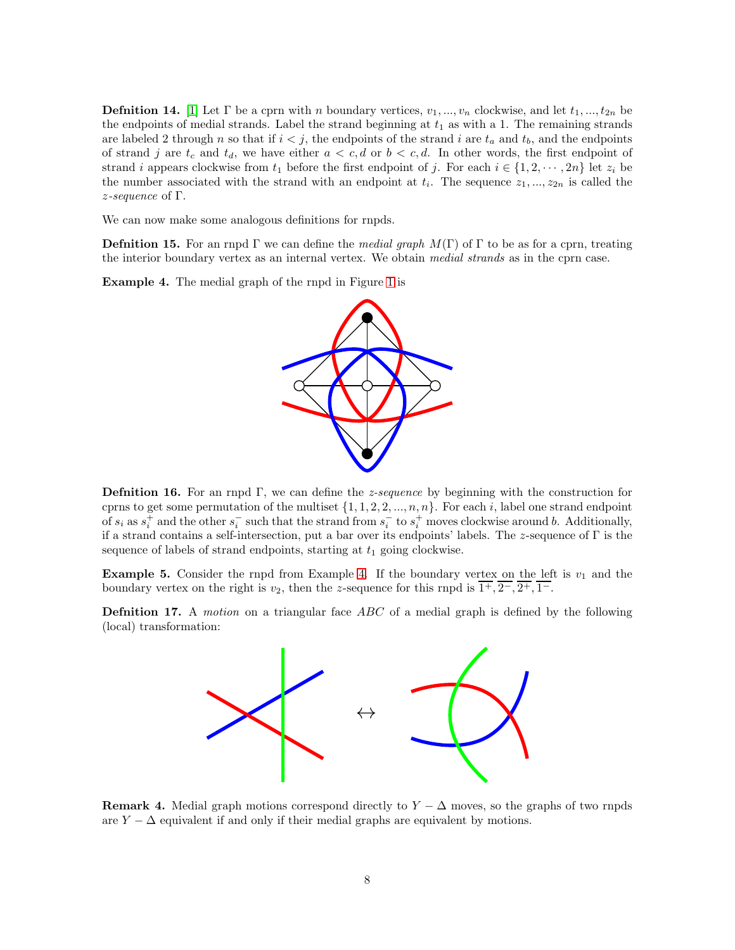**Defnition 14.** [\[1\]](#page-25-1) Let  $\Gamma$  be a cprn with n boundary vertices,  $v_1, ..., v_n$  clockwise, and let  $t_1, ..., t_{2n}$  be the endpoints of medial strands. Label the strand beginning at  $t_1$  as with a 1. The remaining strands are labeled 2 through n so that if  $i < j$ , the endpoints of the strand i are  $t_a$  and  $t_b$ , and the endpoints of strand j are  $t_c$  and  $t_d$ , we have either  $a < c, d$  or  $b < c, d$ . In other words, the first endpoint of strand i appears clockwise from  $t_1$  before the first endpoint of j. For each  $i \in \{1, 2, \dots, 2n\}$  let  $z_i$  be the number associated with the strand with an endpoint at  $t_i$ . The sequence  $z_1, ..., z_{2n}$  is called the z-sequence of Γ.

We can now make some analogous definitions for rnpds.

**Defnition 15.** For an rnpd Γ we can define the medial graph  $M(\Gamma)$  of Γ to be as for a cprn, treating the interior boundary vertex as an internal vertex. We obtain medial strands as in the cprn case.

<span id="page-7-0"></span>Example 4. The medial graph of the rnpd in Figure [1](#page-1-0) is



Defnition 16. For an rnpd Γ, we can define the z-sequence by beginning with the construction for cprns to get some permutation of the multiset  $\{1, 1, 2, 2, ..., n, n\}$ . For each i, label one strand endpoint of  $s_i$  as  $s_i^+$  and the other  $s_i^-$  such that the strand from  $s_i^-$  to  $s_i^+$  moves clockwise around b. Additionally, if a strand contains a self-intersection, put a bar over its endpoints' labels. The z-sequence of Γ is the sequence of labels of strand endpoints, starting at  $t_1$  going clockwise.

**Example 5.** Consider the rnpd from Example [4.](#page-7-0) If the boundary vertex on the left is  $v_1$  and the boundary vertex on the right is  $v_2$ , then the z-sequence for this rnpd is  $\overline{1^+}, \overline{2^-}, \overline{2^+}, \overline{1^-}$ .

**Defnition 17.** A motion on a triangular face ABC of a medial graph is defined by the following (local) transformation:



**Remark 4.** Medial graph motions correspond directly to  $Y - \Delta$  moves, so the graphs of two rnpds are  $Y - \Delta$  equivalent if and only if their medial graphs are equivalent by motions.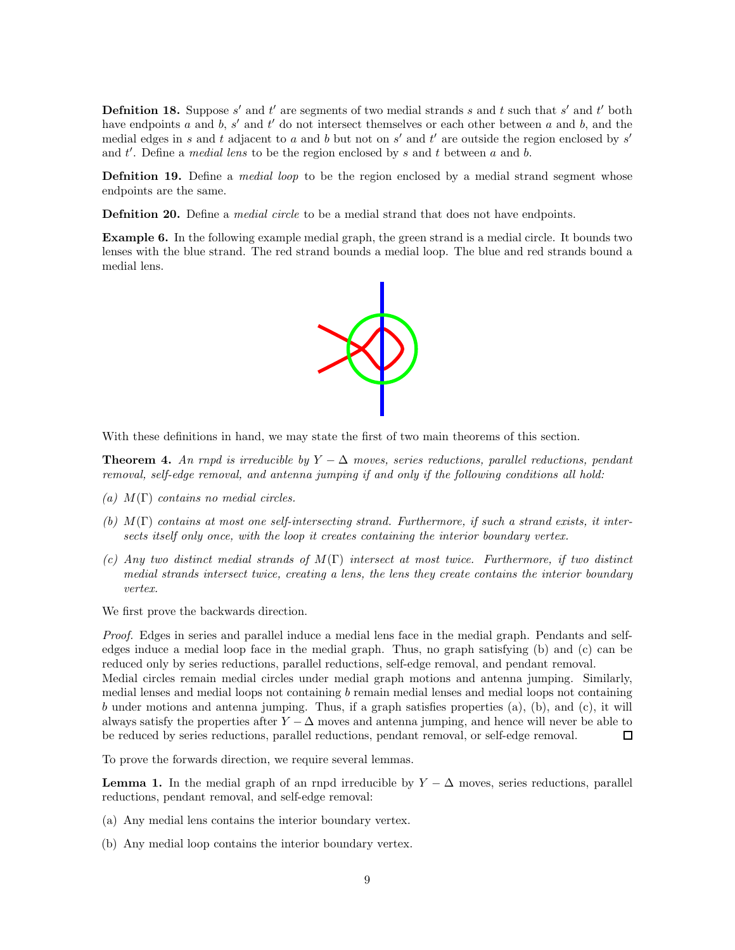**Definition 18.** Suppose  $s'$  and  $t'$  are segments of two medial strands  $s$  and  $t$  such that  $s'$  and  $t'$  both have endpoints  $a$  and  $b$ ,  $s'$  and  $t'$  do not intersect themselves or each other between  $a$  and  $b$ , and the medial edges in s and t adjacent to a and b but not on s' and t' are outside the region enclosed by s' and  $t'$ . Define a *medial lens* to be the region enclosed by  $s$  and  $t$  between  $a$  and  $b$ .

**Definition 19.** Define a *medial loop* to be the region enclosed by a medial strand segment whose endpoints are the same.

**Definition 20.** Define a *medial circle* to be a medial strand that does not have endpoints.

Example 6. In the following example medial graph, the green strand is a medial circle. It bounds two lenses with the blue strand. The red strand bounds a medial loop. The blue and red strands bound a medial lens.



With these definitions in hand, we may state the first of two main theorems of this section.

<span id="page-8-1"></span>**Theorem 4.** An rnpd is irreducible by  $Y - \Delta$  moves, series reductions, parallel reductions, pendant removal, self-edge removal, and antenna jumping if and only if the following conditions all hold:

- (a)  $M(\Gamma)$  contains no medial circles.
- (b) M(Γ) contains at most one self-intersecting strand. Furthermore, if such a strand exists, it intersects itself only once, with the loop it creates containing the interior boundary vertex.
- (c) Any two distinct medial strands of  $M(\Gamma)$  intersect at most twice. Furthermore, if two distinct medial strands intersect twice, creating a lens, the lens they create contains the interior boundary vertex.

We first prove the backwards direction.

Proof. Edges in series and parallel induce a medial lens face in the medial graph. Pendants and selfedges induce a medial loop face in the medial graph. Thus, no graph satisfying (b) and (c) can be reduced only by series reductions, parallel reductions, self-edge removal, and pendant removal. Medial circles remain medial circles under medial graph motions and antenna jumping. Similarly, medial lenses and medial loops not containing b remain medial lenses and medial loops not containing b under motions and antenna jumping. Thus, if a graph satisfies properties (a), (b), and (c), it will always satisfy the properties after  $Y - \Delta$  moves and antenna jumping, and hence will never be able to be reduced by series reductions, parallel reductions, pendant removal, or self-edge removal.  $\Box$ 

To prove the forwards direction, we require several lemmas.

<span id="page-8-0"></span>**Lemma 1.** In the medial graph of an rnpd irreducible by  $Y - \Delta$  moves, series reductions, parallel reductions, pendant removal, and self-edge removal:

- (a) Any medial lens contains the interior boundary vertex.
- (b) Any medial loop contains the interior boundary vertex.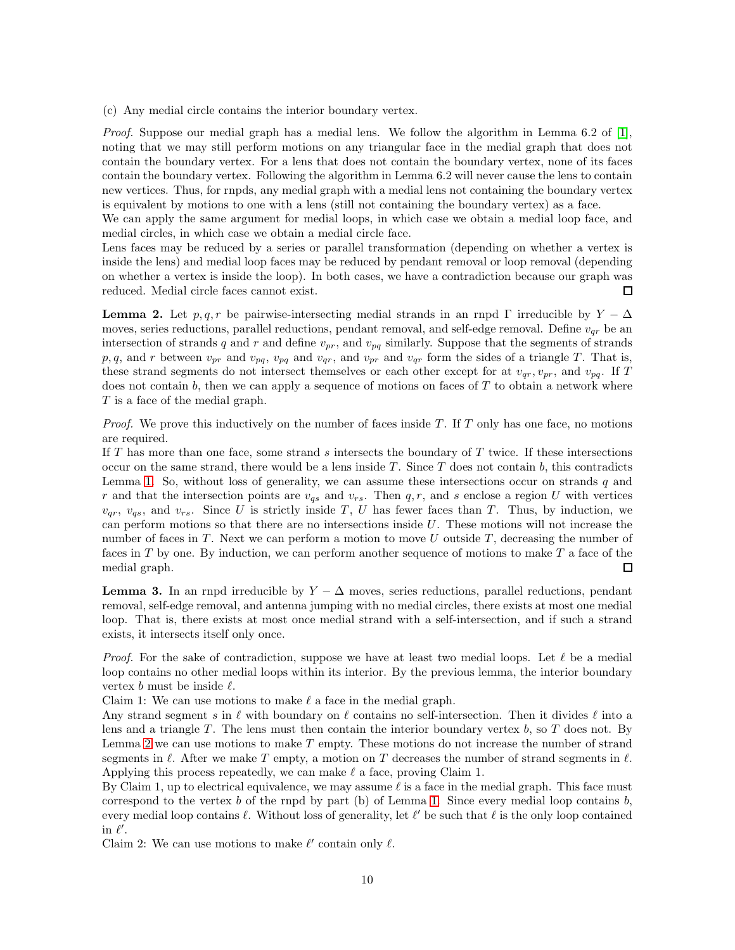(c) Any medial circle contains the interior boundary vertex.

Proof. Suppose our medial graph has a medial lens. We follow the algorithm in Lemma 6.2 of [\[1\]](#page-25-1), noting that we may still perform motions on any triangular face in the medial graph that does not contain the boundary vertex. For a lens that does not contain the boundary vertex, none of its faces contain the boundary vertex. Following the algorithm in Lemma 6.2 will never cause the lens to contain new vertices. Thus, for rnpds, any medial graph with a medial lens not containing the boundary vertex is equivalent by motions to one with a lens (still not containing the boundary vertex) as a face.

We can apply the same argument for medial loops, in which case we obtain a medial loop face, and medial circles, in which case we obtain a medial circle face.

Lens faces may be reduced by a series or parallel transformation (depending on whether a vertex is inside the lens) and medial loop faces may be reduced by pendant removal or loop removal (depending on whether a vertex is inside the loop). In both cases, we have a contradiction because our graph was reduced. Medial circle faces cannot exist.  $\Box$ 

<span id="page-9-0"></span>**Lemma 2.** Let  $p, q, r$  be pairwise-intersecting medial strands in an rnpd  $\Gamma$  irreducible by  $Y - \Delta$ moves, series reductions, parallel reductions, pendant removal, and self-edge removal. Define  $v_{qr}$  be an intersection of strands q and r and define  $v_{pr}$ , and  $v_{pq}$  similarly. Suppose that the segments of strands p, q, and r between  $v_{pr}$  and  $v_{pq}$ ,  $v_{pq}$  and  $v_{qr}$ , and  $v_{qr}$  and  $v_{qr}$  form the sides of a triangle T. That is, these strand segments do not intersect themselves or each other except for at  $v_{qr}, v_{pr}$ , and  $v_{pq}$ . If T does not contain b, then we can apply a sequence of motions on faces of  $T$  to obtain a network where T is a face of the medial graph.

*Proof.* We prove this inductively on the number of faces inside  $T$ . If  $T$  only has one face, no motions are required.

If T has more than one face, some strand s intersects the boundary of T twice. If these intersections occur on the same strand, there would be a lens inside  $T$ . Since  $T$  does not contain  $b$ , this contradicts Lemma [1.](#page-8-0) So, without loss of generality, we can assume these intersections occur on strands  $q$  and r and that the intersection points are  $v_{qs}$  and  $v_{rs}$ . Then q, r, and s enclose a region U with vertices  $v_{qr}$ ,  $v_{qs}$ , and  $v_{rs}$ . Since U is strictly inside T, U has fewer faces than T. Thus, by induction, we can perform motions so that there are no intersections inside  $U$ . These motions will not increase the number of faces in T. Next we can perform a motion to move U outside T, decreasing the number of faces in  $T$  by one. By induction, we can perform another sequence of motions to make  $T$  a face of the medial graph.  $\Box$ 

<span id="page-9-1"></span>**Lemma 3.** In an rnpd irreducible by  $Y - \Delta$  moves, series reductions, parallel reductions, pendant removal, self-edge removal, and antenna jumping with no medial circles, there exists at most one medial loop. That is, there exists at most once medial strand with a self-intersection, and if such a strand exists, it intersects itself only once.

*Proof.* For the sake of contradiction, suppose we have at least two medial loops. Let  $\ell$  be a medial loop contains no other medial loops within its interior. By the previous lemma, the interior boundary vertex  $b$  must be inside  $\ell$ .

Claim 1: We can use motions to make  $\ell$  a face in the medial graph.

Any strand segment s in  $\ell$  with boundary on  $\ell$  contains no self-intersection. Then it divides  $\ell$  into a lens and a triangle  $T$ . The lens must then contain the interior boundary vertex  $b$ , so  $T$  does not. By Lemma [2](#page-9-0) we can use motions to make  $T$  empty. These motions do not increase the number of strand segments in  $\ell$ . After we make T empty, a motion on T decreases the number of strand segments in  $\ell$ . Applying this process repeatedly, we can make  $\ell$  a face, proving Claim 1.

By Claim 1, up to electrical equivalence, we may assume  $\ell$  is a face in the medial graph. This face must correspond to the vertex b of the rnpd by part (b) of Lemma [1.](#page-8-0) Since every medial loop contains  $b$ , every medial loop contains  $\ell$ . Without loss of generality, let  $\ell'$  be such that  $\ell$  is the only loop contained in  $\ell'$ .

Claim 2: We can use motions to make  $\ell'$  contain only  $\ell$ .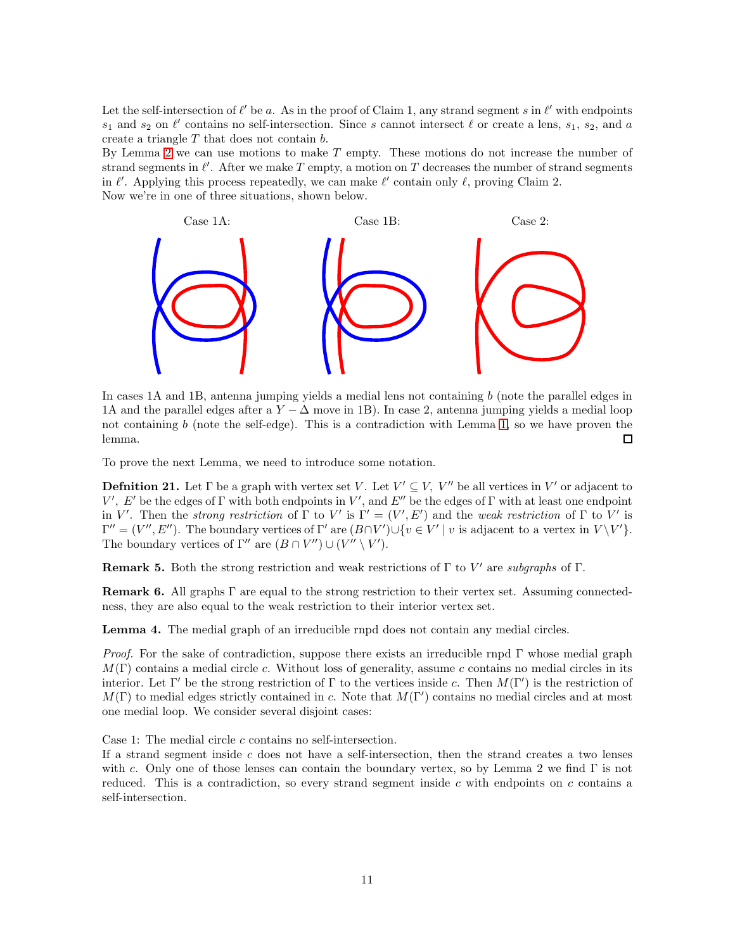Let the self-intersection of  $\ell'$  be a. As in the proof of Claim 1, any strand segment s in  $\ell'$  with endpoints  $s_1$  and  $s_2$  on  $\ell'$  contains no self-intersection. Since s cannot intersect  $\ell$  or create a lens,  $s_1$ ,  $s_2$ , and a create a triangle T that does not contain b.

By Lemma [2](#page-9-0) we can use motions to make  $T$  empty. These motions do not increase the number of strand segments in  $\ell'$ . After we make T empty, a motion on T decreases the number of strand segments in  $\ell'$ . Applying this process repeatedly, we can make  $\ell'$  contain only  $\ell$ , proving Claim 2. Now we're in one of three situations, shown below.



In cases 1A and 1B, antenna jumping yields a medial lens not containing  $b$  (note the parallel edges in 1A and the parallel edges after a  $Y - \Delta$  move in 1B). In case 2, antenna jumping yields a medial loop not containing b (note the self-edge). This is a contradiction with Lemma [1,](#page-8-0) so we have proven the lemma.  $\Box$ 

To prove the next Lemma, we need to introduce some notation.

**Defnition 21.** Let  $\Gamma$  be a graph with vertex set V. Let  $V' \subseteq V$ ,  $V''$  be all vertices in V' or adjacent to V', E' be the edges of  $\Gamma$  with both endpoints in V', and E'' be the edges of  $\Gamma$  with at least one endpoint in V'. Then the strong restriction of  $\Gamma$  to V' is  $\Gamma' = (V', E')$  and the weak restriction of  $\Gamma$  to V' is  $\Gamma'' = (V'', E'')$ . The boundary vertices of  $\Gamma'$  are  $(B \cap V') \cup \{v \in V' \mid v$  is adjacent to a vertex in  $V \setminus V'$ . The boundary vertices of  $\Gamma''$  are  $(B \cap V'') \cup (V'' \setminus V')$ .

**Remark 5.** Both the strong restriction and weak restrictions of  $\Gamma$  to  $V'$  are subgraphs of  $\Gamma$ .

Remark 6. All graphs Γ are equal to the strong restriction to their vertex set. Assuming connectedness, they are also equal to the weak restriction to their interior vertex set.

<span id="page-10-0"></span>Lemma 4. The medial graph of an irreducible rnpd does not contain any medial circles.

*Proof.* For the sake of contradiction, suppose there exists an irreducible rnpd  $\Gamma$  whose medial graph  $M(\Gamma)$  contains a medial circle c. Without loss of generality, assume c contains no medial circles in its interior. Let Γ' be the strong restriction of Γ to the vertices inside c. Then  $M(\Gamma')$  is the restriction of  $M(\Gamma)$  to medial edges strictly contained in c. Note that  $M(\Gamma')$  contains no medial circles and at most one medial loop. We consider several disjoint cases:

Case 1: The medial circle c contains no self-intersection.

If a strand segment inside  $c$  does not have a self-intersection, then the strand creates a two lenses with c. Only one of those lenses can contain the boundary vertex, so by Lemma 2 we find  $\Gamma$  is not reduced. This is a contradiction, so every strand segment inside  $c$  with endpoints on  $c$  contains a self-intersection.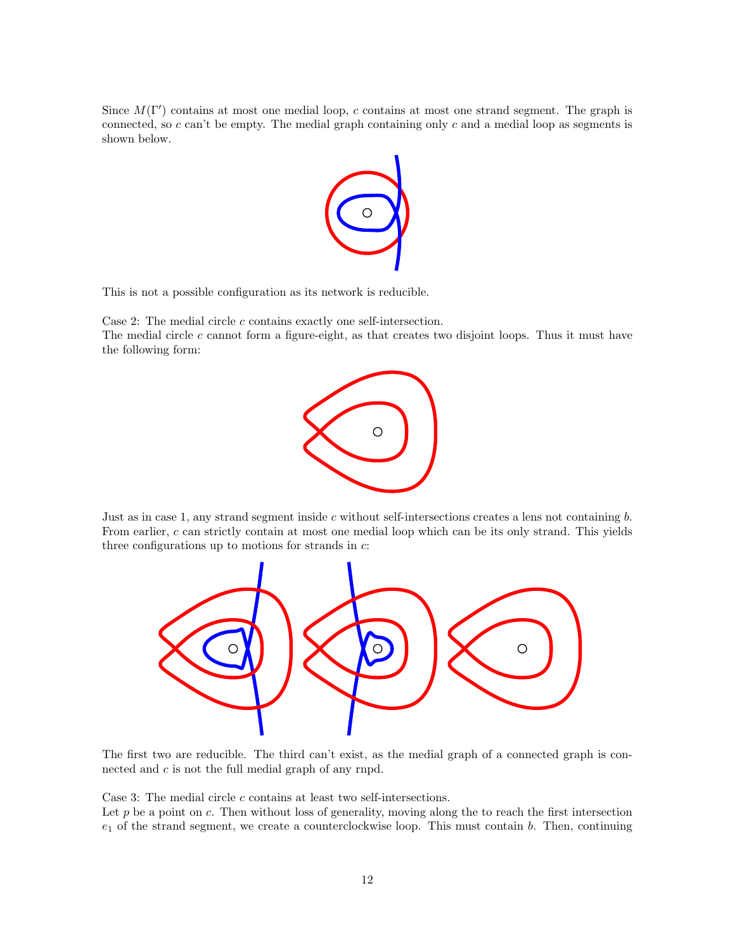Since  $M(\Gamma')$  contains at most one medial loop, c contains at most one strand segment. The graph is connected, so  $c$  can't be empty. The medial graph containing only  $c$  and a medial loop as segments is shown below.



This is not a possible configuration as its network is reducible.

Case 2: The medial circle  $c$  contains exactly one self-intersection.

The medial circle c cannot form a figure-eight, as that creates two disjoint loops. Thus it must have the following form:



Just as in case 1, any strand segment inside  $c$  without self-intersections creates a lens not containing  $b$ . From earlier, c can strictly contain at most one medial loop which can be its only strand. This yields three configurations up to motions for strands in  $c$ :



The first two are reducible. The third can't exist, as the medial graph of a connected graph is connected and c is not the full medial graph of any rnpd.

Case 3: The medial circle  $c$  contains at least two self-intersections.

Let  $p$  be a point on  $c$ . Then without loss of generality, moving along the to reach the first intersection  $e_1$  of the strand segment, we create a counterclockwise loop. This must contain b. Then, continuing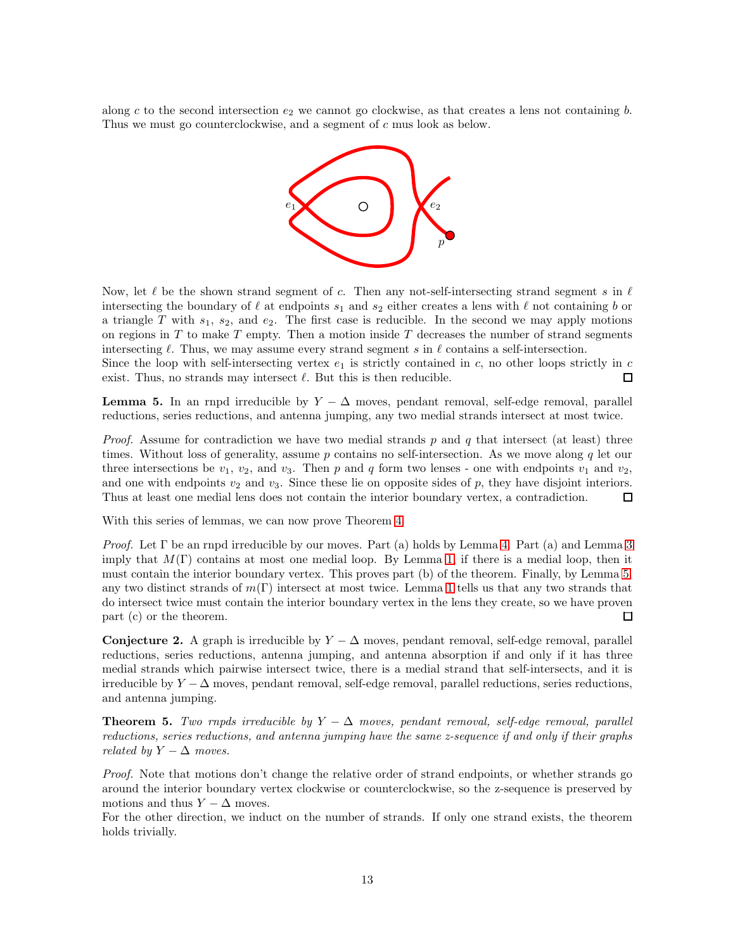along c to the second intersection  $e_2$  we cannot go clockwise, as that creates a lens not containing b. Thus we must go counterclockwise, and a segment of c mus look as below.



Now, let  $\ell$  be the shown strand segment of c. Then any not-self-intersecting strand segment s in  $\ell$ intersecting the boundary of  $\ell$  at endpoints  $s_1$  and  $s_2$  either creates a lens with  $\ell$  not containing b or a triangle T with  $s_1$ ,  $s_2$ , and  $e_2$ . The first case is reducible. In the second we may apply motions on regions in  $T$  to make  $T$  empty. Then a motion inside  $T$  decreases the number of strand segments intersecting  $\ell$ . Thus, we may assume every strand segment s in  $\ell$  contains a self-intersection.

Since the loop with self-intersecting vertex  $e_1$  is strictly contained in c, no other loops strictly in c exist. Thus, no strands may intersect  $\ell$ . But this is then reducible.  $\Box$ 

<span id="page-12-0"></span>**Lemma 5.** In an rnpd irreducible by  $Y - \Delta$  moves, pendant removal, self-edge removal, parallel reductions, series reductions, and antenna jumping, any two medial strands intersect at most twice.

*Proof.* Assume for contradiction we have two medial strands p and q that intersect (at least) three times. Without loss of generality, assume  $p$  contains no self-intersection. As we move along  $q$  let our three intersections be  $v_1$ ,  $v_2$ , and  $v_3$ . Then p and q form two lenses - one with endpoints  $v_1$  and  $v_2$ , and one with endpoints  $v_2$  and  $v_3$ . Since these lie on opposite sides of p, they have disjoint interiors. Thus at least one medial lens does not contain the interior boundary vertex, a contradiction.  $\Box$ 

With this series of lemmas, we can now prove Theorem [4.](#page-8-1)

*Proof.* Let  $\Gamma$  be an rnpd irreducible by our moves. Part (a) holds by Lemma [4.](#page-10-0) Part (a) and Lemma [3](#page-9-1) imply that  $M(\Gamma)$  contains at most one medial loop. By Lemma [1,](#page-8-0) if there is a medial loop, then it must contain the interior boundary vertex. This proves part (b) of the theorem. Finally, by Lemma [5,](#page-12-0) any two distinct strands of  $m(\Gamma)$  intersect at most twice. Lemma [1](#page-8-0) tells us that any two strands that do intersect twice must contain the interior boundary vertex in the lens they create, so we have proven part (c) or the theorem.  $\Box$ 

Conjecture 2. A graph is irreducible by  $Y - \Delta$  moves, pendant removal, self-edge removal, parallel reductions, series reductions, antenna jumping, and antenna absorption if and only if it has three medial strands which pairwise intersect twice, there is a medial strand that self-intersects, and it is irreducible by  $Y - \Delta$  moves, pendant removal, self-edge removal, parallel reductions, series reductions, and antenna jumping.

<span id="page-12-1"></span>**Theorem 5.** Two rnpds irreducible by  $Y - \Delta$  moves, pendant removal, self-edge removal, parallel reductions, series reductions, and antenna jumping have the same z-sequence if and only if their graphs related by  $Y - \Delta$  moves.

Proof. Note that motions don't change the relative order of strand endpoints, or whether strands go around the interior boundary vertex clockwise or counterclockwise, so the z-sequence is preserved by motions and thus  $Y - \Delta$  moves.

For the other direction, we induct on the number of strands. If only one strand exists, the theorem holds trivially.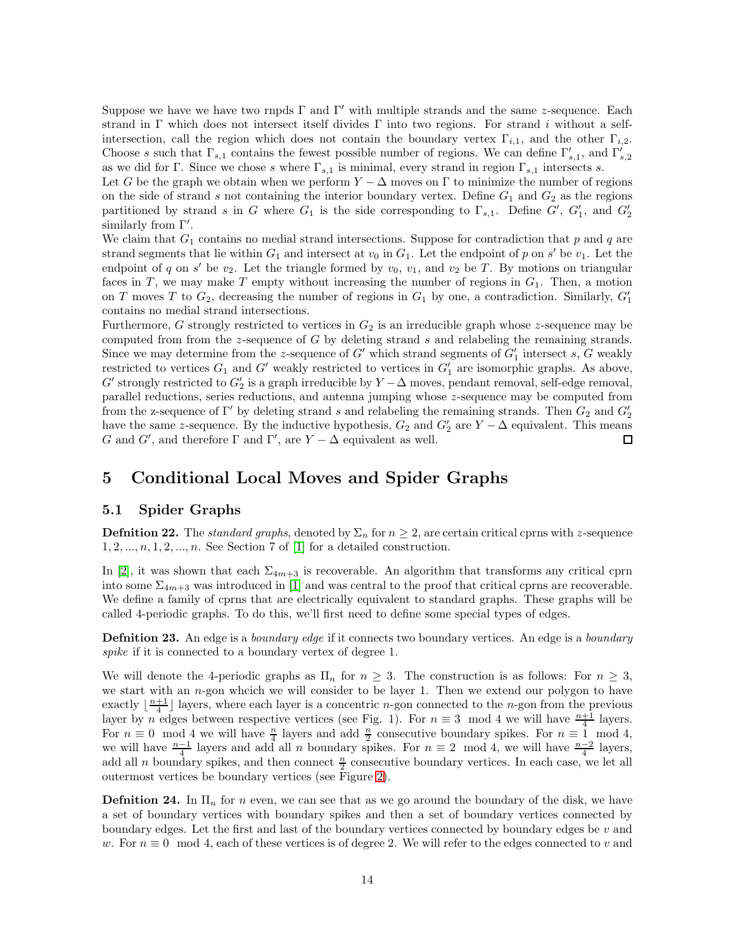Suppose we have we have two rnpds  $\Gamma$  and  $\Gamma'$  with multiple strands and the same z-sequence. Each strand in Γ which does not intersect itself divides Γ into two regions. For strand i without a selfintersection, call the region which does not contain the boundary vertex  $\Gamma_{i,1}$ , and the other  $\Gamma_{i,2}$ . Choose s such that  $\Gamma_{s,1}$  contains the fewest possible number of regions. We can define  $\Gamma'_{s,1}$ , and  $\Gamma'_{s,2}$ as we did for Γ. Since we chose s where  $\Gamma_{s,1}$  is minimal, every strand in region  $\Gamma_{s,1}$  intersects s.

Let G be the graph we obtain when we perform  $Y - \Delta$  moves on  $\Gamma$  to minimize the number of regions on the side of strand s not containing the interior boundary vertex. Define  $G_1$  and  $G_2$  as the regions partitioned by strand s in G where  $G_1$  is the side corresponding to  $\Gamma_{s,1}$ . Define  $G'$ ,  $G'_1$ , and  $G'_2$ similarly from Γ'.

We claim that  $G_1$  contains no medial strand intersections. Suppose for contradiction that p and q are strand segments that lie within  $G_1$  and intersect at  $v_0$  in  $G_1$ . Let the endpoint of p on s' be  $v_1$ . Let the endpoint of q on s' be  $v_2$ . Let the triangle formed by  $v_0$ ,  $v_1$ , and  $v_2$  be T. By motions on triangular faces in T, we may make T empty without increasing the number of regions in  $G_1$ . Then, a motion on T moves T to  $G_2$ , decreasing the number of regions in  $G_1$  by one, a contradiction. Similarly,  $G'_1$ contains no medial strand intersections.

Furthermore, G strongly restricted to vertices in  $G_2$  is an irreducible graph whose z-sequence may be computed from from the z-sequence of  $G$  by deleting strand  $s$  and relabeling the remaining strands. Since we may determine from the z-sequence of  $G'$  which strand segments of  $G'$  intersect s,  $G$  weakly restricted to vertices  $G_1$  and  $G'$  weakly restricted to vertices in  $G'_1$  are isomorphic graphs. As above,  $G'$  strongly restricted to  $G'_2$  is a graph irreducible by  $Y - \Delta$  moves, pendant removal, self-edge removal, parallel reductions, series reductions, and antenna jumping whose z-sequence may be computed from from the z-sequence of  $\Gamma'$  by deleting strand s and relabeling the remaining strands. Then  $G_2$  and  $G'_2$ have the same z-sequence. By the inductive hypothesis,  $G_2$  and  $G'_2$  are  $Y - \Delta$  equivalent. This means G and G', and therefore  $\Gamma$  and  $\Gamma'$ , are  $Y - \Delta$  equivalent as well. Ш

#### 5 Conditional Local Moves and Spider Graphs

#### 5.1 Spider Graphs

**Defnition 22.** The *standard graphs*, denoted by  $\Sigma_n$  for  $n \geq 2$ , are certain critical cprns with z-sequence  $1, 2, \ldots, n, 1, 2, \ldots, n$ . See Section 7 of [\[1\]](#page-25-1) for a detailed construction.

In [\[2\]](#page-25-0), it was shown that each  $\Sigma_{4m+3}$  is recoverable. An algorithm that transforms any critical cprn into some  $\Sigma_{4m+3}$  was introduced in [\[1\]](#page-25-1) and was central to the proof that critical cprns are recoverable. We define a family of cprns that are electrically equivalent to standard graphs. These graphs will be called 4-periodic graphs. To do this, we'll first need to define some special types of edges.

**Defnition 23.** An edge is a *boundary edge* if it connects two boundary vertices. An edge is a *boundary* spike if it is connected to a boundary vertex of degree 1.

We will denote the 4-periodic graphs as  $\Pi_n$  for  $n \geq 3$ . The construction is as follows: For  $n \geq 3$ , we start with an n-gon whcich we will consider to be layer 1. Then we extend our polygon to have exactly  $\lfloor \frac{n+1}{4} \rfloor$  layers, where each layer is a concentric *n*-gon connected to the *n*-gon from the previous layer by n edges between respective vertices (see Fig. 1). For  $n \equiv 3 \mod 4$  we will have  $\frac{n+1}{4}$  layers. For  $n \equiv 0 \mod 4$  we will have  $\frac{n}{4}$  layers and add  $\frac{n}{2}$  consecutive boundary spikes. For  $n \equiv 1 \mod 4$ , we will have  $\frac{n-1}{4}$  layers and add all n boundary spikes. For  $n \equiv 2 \mod 4$ , we will have  $\frac{n-2}{4}$  layers, add all n boundary spikes, and then connect  $\frac{n}{2}$  consecutive boundary vertices. In each case, we let all outermost vertices be boundary vertices (see Figure [2\)](#page-14-0).

**Definition 24.** In  $\Pi_n$  for n even, we can see that as we go around the boundary of the disk, we have a set of boundary vertices with boundary spikes and then a set of boundary vertices connected by boundary edges. Let the first and last of the boundary vertices connected by boundary edges be  $v$  and w. For  $n \equiv 0 \mod 4$ , each of these vertices is of degree 2. We will refer to the edges connected to v and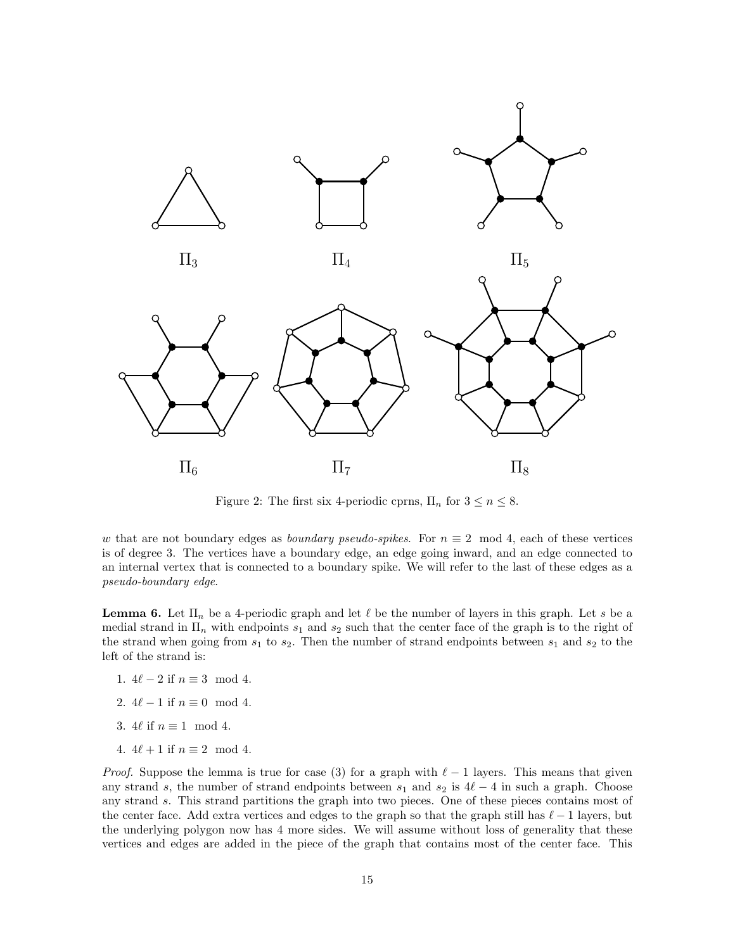

<span id="page-14-0"></span>Figure 2: The first six 4-periodic cprns,  $\Pi_n$  for  $3 \leq n \leq 8$ .

w that are not boundary edges as *boundary pseudo-spikes*. For  $n \equiv 2 \mod 4$ , each of these vertices is of degree 3. The vertices have a boundary edge, an edge going inward, and an edge connected to an internal vertex that is connected to a boundary spike. We will refer to the last of these edges as a pseudo-boundary edge.

<span id="page-14-1"></span>**Lemma 6.** Let  $\Pi_n$  be a 4-periodic graph and let  $\ell$  be the number of layers in this graph. Let s be a medial strand in  $\Pi_n$  with endpoints  $s_1$  and  $s_2$  such that the center face of the graph is to the right of the strand when going from  $s_1$  to  $s_2$ . Then the number of strand endpoints between  $s_1$  and  $s_2$  to the left of the strand is:

- 1.  $4\ell 2$  if  $n \equiv 3 \mod 4$ .
- 2.  $4\ell 1$  if  $n \equiv 0 \mod 4$ .
- 3. 4 $\ell$  if  $n \equiv 1 \mod 4$ .
- 4.  $4\ell + 1$  if  $n \equiv 2 \mod 4$ .

*Proof.* Suppose the lemma is true for case (3) for a graph with  $\ell - 1$  layers. This means that given any strand s, the number of strand endpoints between  $s_1$  and  $s_2$  is  $4\ell-4$  in such a graph. Choose any strand s. This strand partitions the graph into two pieces. One of these pieces contains most of the center face. Add extra vertices and edges to the graph so that the graph still has  $\ell - 1$  layers, but the underlying polygon now has 4 more sides. We will assume without loss of generality that these vertices and edges are added in the piece of the graph that contains most of the center face. This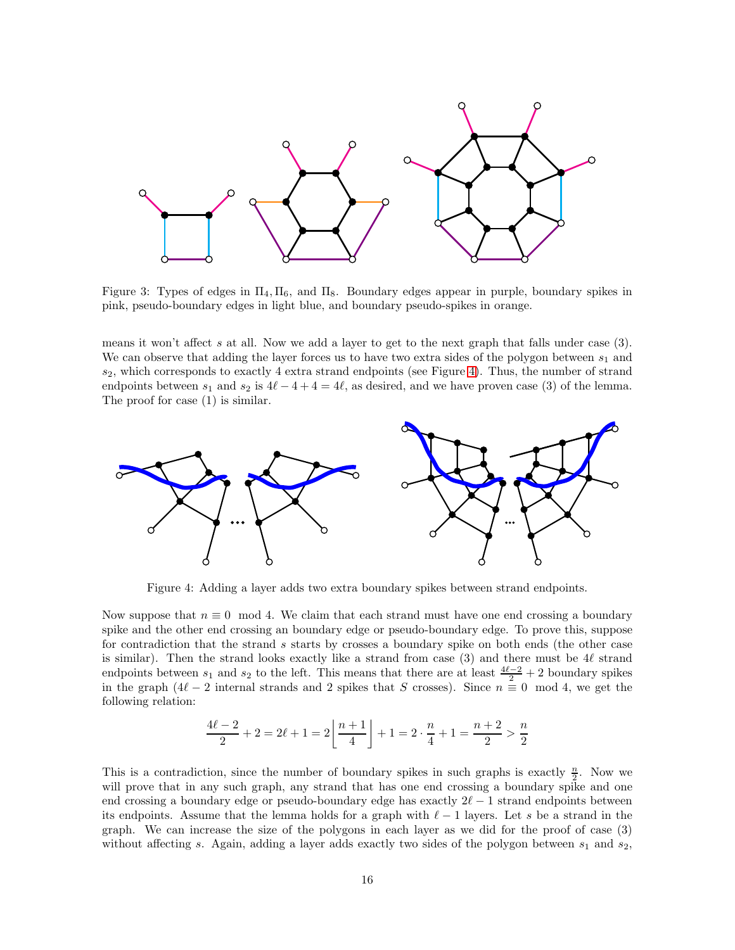

Figure 3: Types of edges in  $\Pi_4, \Pi_6$ , and  $\Pi_8$ . Boundary edges appear in purple, boundary spikes in pink, pseudo-boundary edges in light blue, and boundary pseudo-spikes in orange.

means it won't affect s at all. Now we add a layer to get to the next graph that falls under case (3). We can observe that adding the layer forces us to have two extra sides of the polygon between  $s_1$  and  $s_2$ , which corresponds to exactly 4 extra strand endpoints (see Figure [4\)](#page-15-0). Thus, the number of strand endpoints between  $s_1$  and  $s_2$  is  $4\ell-4+4=4\ell$ , as desired, and we have proven case (3) of the lemma. The proof for case (1) is similar.



<span id="page-15-0"></span>Figure 4: Adding a layer adds two extra boundary spikes between strand endpoints.

Now suppose that  $n \equiv 0 \mod 4$ . We claim that each strand must have one end crossing a boundary spike and the other end crossing an boundary edge or pseudo-boundary edge. To prove this, suppose for contradiction that the strand s starts by crosses a boundary spike on both ends (the other case is similar). Then the strand looks exactly like a strand from case (3) and there must be 4ℓ strand endpoints between  $s_1$  and  $s_2$  to the left. This means that there are at least  $\frac{4\ell-2}{2}+2$  boundary spikes in the graph  $(4\ell-2)$  internal strands and 2 spikes that S crosses). Since  $n \equiv 0 \mod 4$ , we get the following relation:

$$
\frac{4\ell-2}{2} + 2 = 2\ell + 1 = 2\left\lfloor \frac{n+1}{4} \right\rfloor + 1 = 2 \cdot \frac{n}{4} + 1 = \frac{n+2}{2} > \frac{n}{2}
$$

This is a contradiction, since the number of boundary spikes in such graphs is exactly  $\frac{n}{2}$ . Now we will prove that in any such graph, any strand that has one end crossing a boundary spike and one end crossing a boundary edge or pseudo-boundary edge has exactly  $2\ell - 1$  strand endpoints between its endpoints. Assume that the lemma holds for a graph with  $\ell-1$  layers. Let s be a strand in the graph. We can increase the size of the polygons in each layer as we did for the proof of case (3) without affecting s. Again, adding a layer adds exactly two sides of the polygon between  $s_1$  and  $s_2$ ,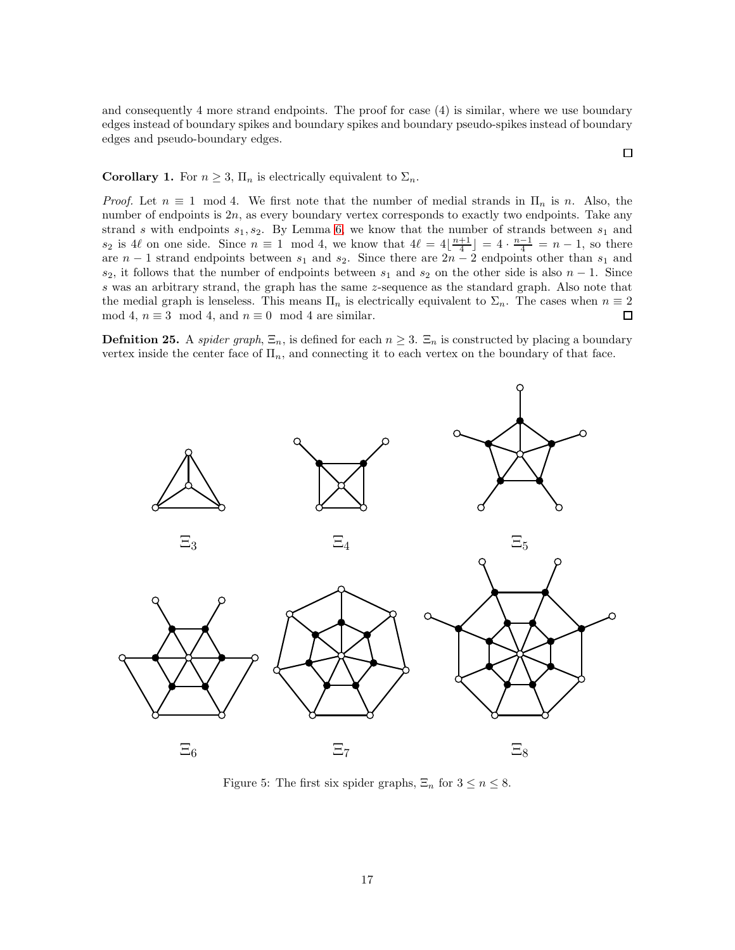and consequently 4 more strand endpoints. The proof for case (4) is similar, where we use boundary edges instead of boundary spikes and boundary spikes and boundary pseudo-spikes instead of boundary edges and pseudo-boundary edges.

 $\Box$ 

#### **Corollary 1.** For  $n \geq 3$ ,  $\Pi_n$  is electrically equivalent to  $\Sigma_n$ .

*Proof.* Let  $n \equiv 1 \mod 4$ . We first note that the number of medial strands in  $\Pi_n$  is n. Also, the number of endpoints is  $2n$ , as every boundary vertex corresponds to exactly two endpoints. Take any strand s with endpoints  $s_1, s_2$ . By Lemma [6,](#page-14-1) we know that the number of strands between  $s_1$  and  $s_2$  is 4 $\ell$  on one side. Since  $n \equiv 1 \mod 4$ , we know that  $4\ell = 4\lfloor \frac{n+1}{4} \rfloor = 4 \cdot \frac{n-1}{4} = n-1$ , so there are  $n-1$  strand endpoints between  $s_1$  and  $s_2$ . Since there are  $2n-2$  endpoints other than  $s_1$  and  $s_2$ , it follows that the number of endpoints between  $s_1$  and  $s_2$  on the other side is also  $n-1$ . Since s was an arbitrary strand, the graph has the same z-sequence as the standard graph. Also note that the medial graph is lenseless. This means  $\Pi_n$  is electrically equivalent to  $\Sigma_n$ . The cases when  $n \equiv 2$ mod 4,  $n \equiv 3 \mod 4$ , and  $n \equiv 0 \mod 4$  are similar.  $\Box$ 

**Defnition 25.** A *spider graph*,  $\Xi_n$ , is defined for each  $n \geq 3$ .  $\Xi_n$  is constructed by placing a boundary vertex inside the center face of  $\Pi_n$ , and connecting it to each vertex on the boundary of that face.



Figure 5: The first six spider graphs,  $\Xi_n$  for  $3 \leq n \leq 8$ .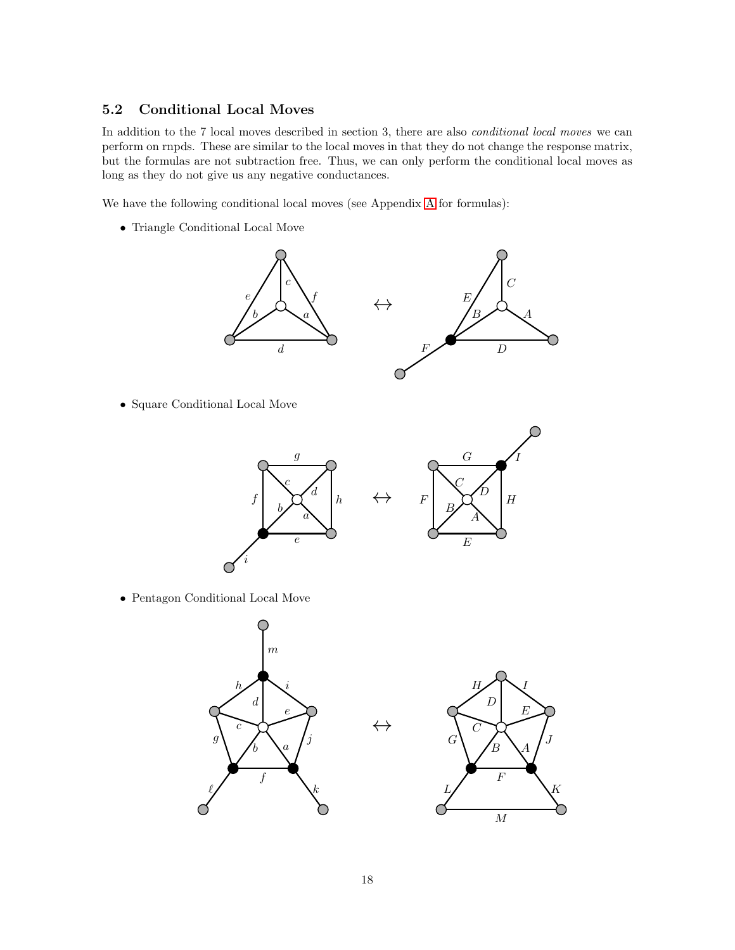#### 5.2 Conditional Local Moves

In addition to the 7 local moves described in section 3, there are also *conditional local moves* we can perform on rnpds. These are similar to the local moves in that they do not change the response matrix, but the formulas are not subtraction free. Thus, we can only perform the conditional local moves as long as they do not give us any negative conductances.

We have the following conditional local moves (see Appendix [A](#page-20-0) for formulas):

• Triangle Conditional Local Move



• Square Conditional Local Move



• Pentagon Conditional Local Move



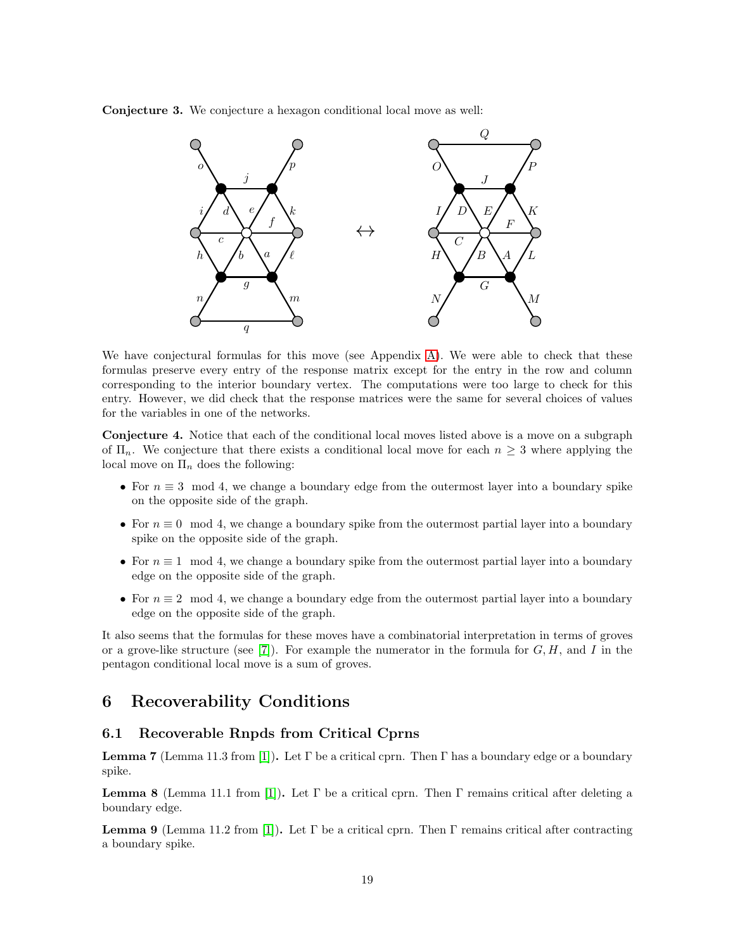Conjecture 3. We conjecture a hexagon conditional local move as well:



We have conjectural formulas for this move (see Appendix [A\)](#page-20-0). We were able to check that these formulas preserve every entry of the response matrix except for the entry in the row and column corresponding to the interior boundary vertex. The computations were too large to check for this entry. However, we did check that the response matrices were the same for several choices of values for the variables in one of the networks.

Conjecture 4. Notice that each of the conditional local moves listed above is a move on a subgraph of  $\Pi_n$ . We conjecture that there exists a conditional local move for each  $n \geq 3$  where applying the local move on  $\Pi_n$  does the following:

- For  $n \equiv 3 \mod 4$ , we change a boundary edge from the outermost layer into a boundary spike on the opposite side of the graph.
- For  $n \equiv 0 \mod 4$ , we change a boundary spike from the outermost partial layer into a boundary spike on the opposite side of the graph.
- For  $n \equiv 1 \mod 4$ , we change a boundary spike from the outermost partial layer into a boundary edge on the opposite side of the graph.
- For  $n \equiv 2 \mod 4$ , we change a boundary edge from the outermost partial layer into a boundary edge on the opposite side of the graph.

It also seems that the formulas for these moves have a combinatorial interpretation in terms of groves or a grove-like structure (see [\[7\]](#page-25-5)). For example the numerator in the formula for  $G, H$ , and I in the pentagon conditional local move is a sum of groves.

# 6 Recoverability Conditions

#### 6.1 Recoverable Rnpds from Critical Cprns

<span id="page-18-0"></span>**Lemma 7** (Lemma 11.3 from [\[1\]](#page-25-1)). Let  $\Gamma$  be a critical cprn. Then  $\Gamma$  has a boundary edge or a boundary spike.

<span id="page-18-1"></span>**Lemma 8** (Lemma 11.1 from [\[1\]](#page-25-1)). Let  $\Gamma$  be a critical cprn. Then  $\Gamma$  remains critical after deleting a boundary edge.

<span id="page-18-2"></span>**Lemma 9** (Lemma 11.2 from [\[1\]](#page-25-1)). Let Γ be a critical cprn. Then Γ remains critical after contracting a boundary spike.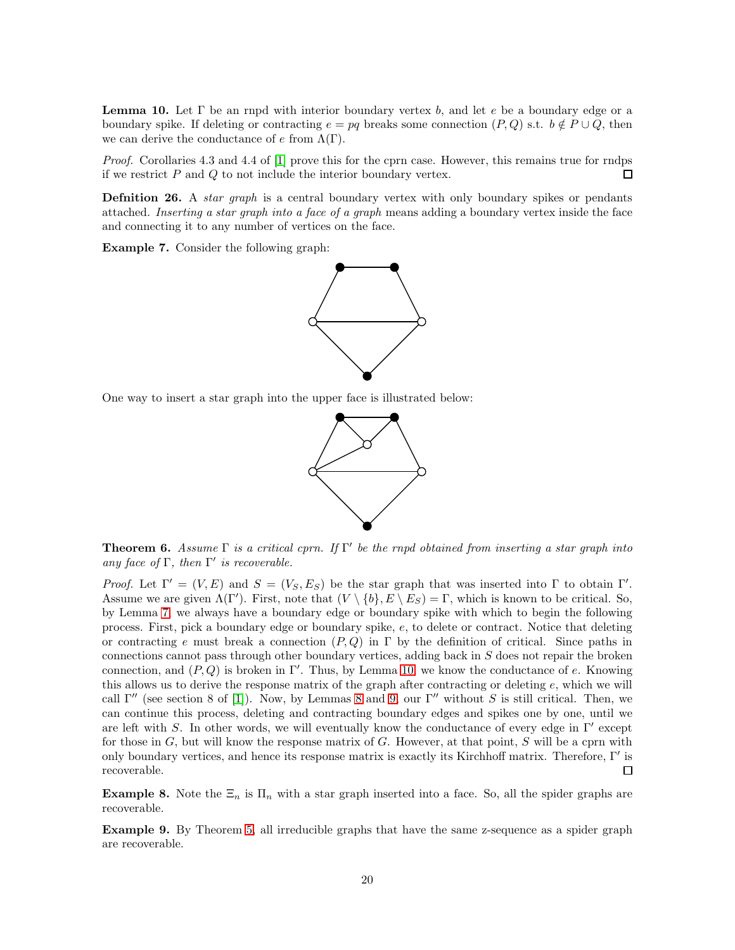<span id="page-19-0"></span>**Lemma 10.** Let  $\Gamma$  be an rnpd with interior boundary vertex b, and let e be a boundary edge or a boundary spike. If deleting or contracting  $e = pq$  breaks some connection  $(P,Q)$  s.t.  $b \notin P \cup Q$ , then we can derive the conductance of  $e$  from  $\Lambda(\Gamma)$ .

Proof. Corollaries 4.3 and 4.4 of [\[1\]](#page-25-1) prove this for the cprn case. However, this remains true for rndps if we restrict  $P$  and  $Q$  to not include the interior boundary vertex.  $\Box$ 

**Defnition 26.** A *star graph* is a central boundary vertex with only boundary spikes or pendants attached. Inserting a star graph into a face of a graph means adding a boundary vertex inside the face and connecting it to any number of vertices on the face.

Example 7. Consider the following graph:



One way to insert a star graph into the upper face is illustrated below:



**Theorem 6.** Assume  $\Gamma$  is a critical cprn. If  $\Gamma'$  be the rnpd obtained from inserting a star graph into any face of  $\Gamma$ , then  $\Gamma'$  is recoverable.

Proof. Let  $\Gamma' = (V, E)$  and  $S = (V_S, E_S)$  be the star graph that was inserted into  $\Gamma$  to obtain  $\Gamma'$ . Assume we are given  $\Lambda(\Gamma')$ . First, note that  $(V \setminus \{b\}, E \setminus E_S) = \Gamma$ , which is known to be critical. So, by Lemma [7,](#page-18-0) we always have a boundary edge or boundary spike with which to begin the following process. First, pick a boundary edge or boundary spike, e, to delete or contract. Notice that deleting or contracting e must break a connection  $(P,Q)$  in  $\Gamma$  by the definition of critical. Since paths in connections cannot pass through other boundary vertices, adding back in S does not repair the broken connection, and  $(P,Q)$  is broken in Γ'. Thus, by Lemma [10,](#page-19-0) we know the conductance of e. Knowing this allows us to derive the response matrix of the graph after contracting or deleting e, which we will call Γ'' (see section 8 of [\[1\]](#page-25-1)). Now, by Lemmas [8](#page-18-1) and [9,](#page-18-2) our Γ'' without S is still critical. Then, we can continue this process, deleting and contracting boundary edges and spikes one by one, until we are left with S. In other words, we will eventually know the conductance of every edge in  $\Gamma'$  except for those in  $G$ , but will know the response matrix of  $G$ . However, at that point,  $S$  will be a cprn with only boundary vertices, and hence its response matrix is exactly its Kirchhoff matrix. Therefore, Γ′ is recoverable. П

Example 8. Note the  $\Xi_n$  is  $\Pi_n$  with a star graph inserted into a face. So, all the spider graphs are recoverable.

Example 9. By Theorem [5,](#page-12-1) all irreducible graphs that have the same z-sequence as a spider graph are recoverable.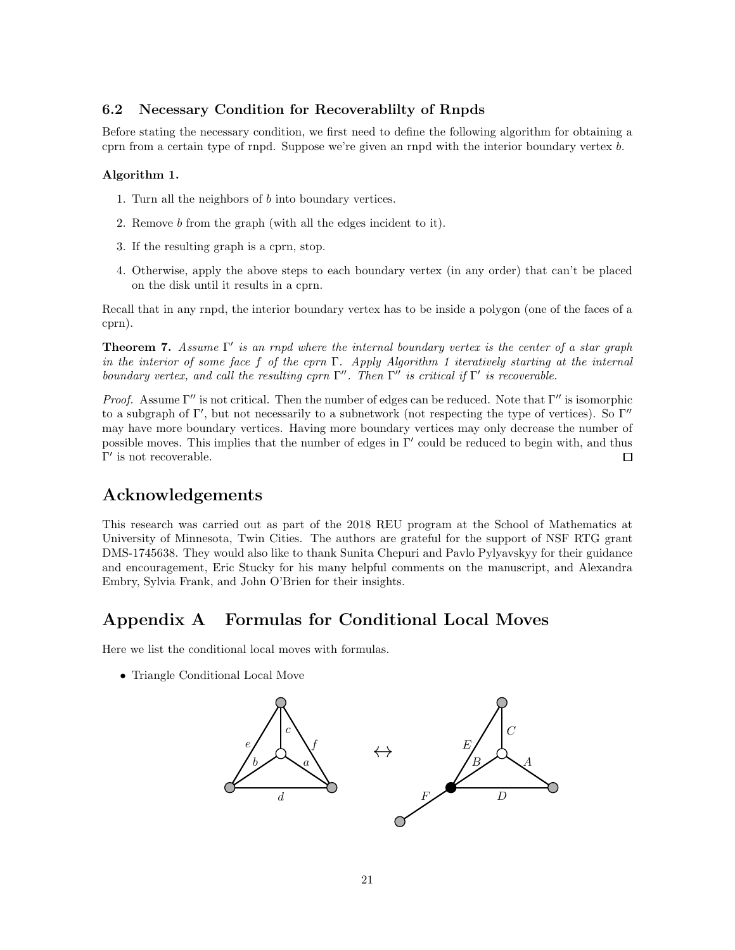#### 6.2 Necessary Condition for Recoverablilty of Rnpds

Before stating the necessary condition, we first need to define the following algorithm for obtaining a cprn from a certain type of rnpd. Suppose we're given an rnpd with the interior boundary vertex b.

#### Algorithm 1.

- 1. Turn all the neighbors of b into boundary vertices.
- 2. Remove b from the graph (with all the edges incident to it).
- 3. If the resulting graph is a cprn, stop.
- 4. Otherwise, apply the above steps to each boundary vertex (in any order) that can't be placed on the disk until it results in a cprn.

Recall that in any rnpd, the interior boundary vertex has to be inside a polygon (one of the faces of a cprn).

**Theorem 7.** Assume  $\Gamma'$  is an rnpd where the internal boundary vertex is the center of a star graph in the interior of some face f of the cprn Γ. Apply Algorithm 1 iteratively starting at the internal boundary vertex, and call the resulting cprn  $\Gamma''$ . Then  $\Gamma''$  is critical if  $\Gamma'$  is recoverable.

Proof. Assume  $\Gamma''$  is not critical. Then the number of edges can be reduced. Note that  $\Gamma''$  is isomorphic to a subgraph of Γ′ , but not necessarily to a subnetwork (not respecting the type of vertices). So Γ′′ may have more boundary vertices. Having more boundary vertices may only decrease the number of possible moves. This implies that the number of edges in Γ′ could be reduced to begin with, and thus  $\Gamma'$  is not recoverable.  $\Box$ 

# Acknowledgements

This research was carried out as part of the 2018 REU program at the School of Mathematics at University of Minnesota, Twin Cities. The authors are grateful for the support of NSF RTG grant DMS-1745638. They would also like to thank Sunita Chepuri and Pavlo Pylyavskyy for their guidance and encouragement, Eric Stucky for his many helpful comments on the manuscript, and Alexandra Embry, Sylvia Frank, and John O'Brien for their insights.

# <span id="page-20-0"></span>Appendix A Formulas for Conditional Local Moves

Here we list the conditional local moves with formulas.

• Triangle Conditional Local Move

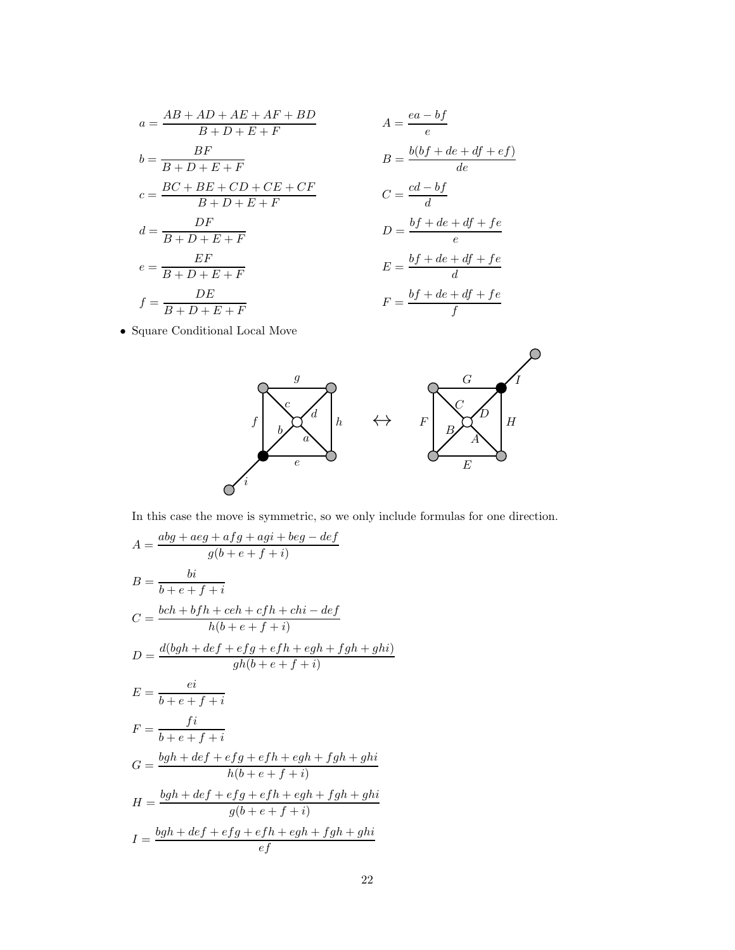$$
a = \frac{AB + AD + AE + AF + BP}{B + D + E + F}
$$
  
\n
$$
b = \frac{BF}{B + D + E + F}
$$
  
\n
$$
c = \frac{BC + BE + CD + CE + CF}{B + D + E + F}
$$
  
\n
$$
d = \frac{DF}{B + D + E + F}
$$
  
\n
$$
e = \frac{EF}{B + D + E + F}
$$
  
\n
$$
f = \frac{DE}{B + D + E + F}
$$

$$
A = \frac{ea - bf}{e}
$$
  
\n
$$
B = \frac{b(bf + de + df + ef)}{de}
$$
  
\n
$$
C = \frac{cd - bf}{d}
$$
  
\n
$$
D = \frac{bf + de + df + fe}{e}
$$
  
\n
$$
E = \frac{bf + de + df + fe}{d}
$$
  
\n
$$
F = \frac{bf + de + df + fe}{f}
$$

• Square Conditional Local Move



In this case the move is symmetric, so we only include formulas for one direction.

$$
A = \frac{abg + aeg + afg + agi + beg - def}{g(b + e + f + i)}
$$
  
\n
$$
B = \frac{bi}{b + e + f + i}
$$
  
\n
$$
C = \frac{bch + bfh + ceh + cfh + chi - def}{h(b + e + f + i)}
$$
  
\n
$$
D = \frac{d(bgh + def + efg + efh + egh + fgh + ghi)}{gh(b + e + f + i)}
$$
  
\n
$$
E = \frac{ei}{b + e + f + i}
$$
  
\n
$$
F = \frac{fi}{b + e + f + i}
$$
  
\n
$$
G = \frac{bgh + def + efg + efh + egh + fgh + ghi}{h(b + e + f + i)}
$$
  
\n
$$
H = \frac{bgh + def + efg + efh + egh + fgh + ghi}{g(b + e + f + i)}
$$
  
\n
$$
I = \frac{bgh + def + efg + efh + egh + fgh + ghi}{ef}
$$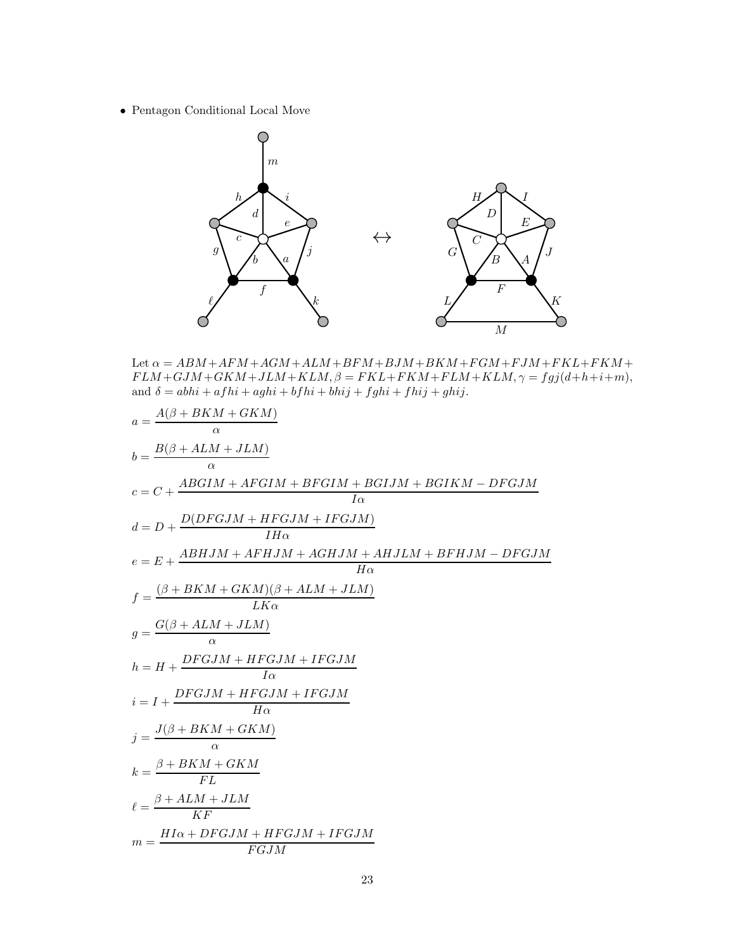• Pentagon Conditional Local Move



Let  $\alpha = ABM + AFM + AGM + ALM + BFM + BJM + BKM + FGM + FJM + FKL + FKM +$  $FLM + GJM + GKM + JLM + KLM, \beta = FKL + FKM + FLM + KLM, \gamma = fgj(d+h+i+m),$ and  $\delta = abhi + afhi + aghi + bfhi + bhij + fghi + fhij + ghij.$ 

$$
a = \frac{A(\beta + BKM + GKM)}{\alpha}
$$
  
\n
$$
b = \frac{B(\beta + ALM + JLM)}{\alpha}
$$
  
\n
$$
c = C + \frac{ABGIM + AFGIM + BFGIM + BGIJM + BGIKM - DFGJM}{I\alpha}
$$
  
\n
$$
d = D + \frac{D(DFGJM + HFGJM + IFGJM)}{IH\alpha}
$$
  
\n
$$
e = E + \frac{ABHJM + AFHJM + AGHJM + AHJLM + BFHJM - DFGJM}{H\alpha}
$$
  
\n
$$
f = \frac{(\beta + BKM + GKM)(\beta + ALM + JLM)}{LK\alpha}
$$
  
\n
$$
g = \frac{G(\beta + ALM + JLM)}{\alpha}
$$
  
\n
$$
h = H + \frac{DFGJM + HFGJM + IFGJM}{I\alpha}
$$
  
\n
$$
i = I + \frac{DFGJM + HFGJM + IFGJM}{H\alpha}
$$
  
\n
$$
j = \frac{J(\beta + BKM + GKM)}{\alpha}
$$
  
\n
$$
k = \frac{\beta + BKM + GKM}{FL}
$$
  
\n
$$
\ell = \frac{\beta + ALM + JLM}{KF}
$$
  
\n
$$
m = \frac{HI\alpha + DFGJM + HFGJM + IFGJM}{FGJM}
$$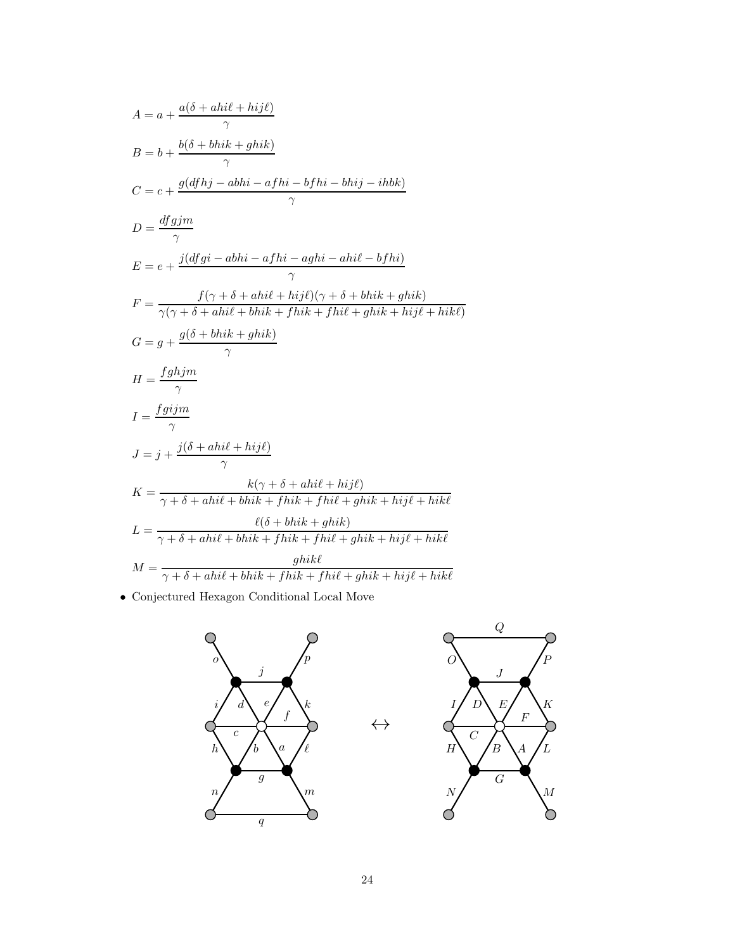$$
A = a + \frac{a(\delta + ahil + hij\ell)}{\gamma}
$$
  
\n
$$
B = b + \frac{b(\delta + bhik + ghik)}{\gamma}
$$
  
\n
$$
C = c + \frac{g(dfhj - abhi - afhi - bfhi - bhij - ihbk)}{\gamma}
$$
  
\n
$$
D = \frac{dfgjm}{\gamma}
$$
  
\n
$$
E = e + \frac{j(dfgi - abhi - afhi - aghi - ahi\ell - bfhi)}{\gamma}
$$
  
\n
$$
F = \frac{f(\gamma + \delta + ahil + hij\ell)(\gamma + \delta + bhik + ghik)}{\gamma}
$$
  
\n
$$
G = g + \frac{g(\delta + bhik + ghik)}{\gamma}
$$
  
\n
$$
H = \frac{fghjm}{\gamma}
$$
  
\n
$$
I = \frac{fgijm}{\gamma}
$$
  
\n
$$
J = j + \frac{j(\delta + ahil + hij\ell)}{\gamma}
$$
  
\n
$$
K = \frac{k(\gamma + \delta + ahil + hij\ell)}{\gamma + \delta + ahil + bhik + fhik + fhil + ghik + hijl + hik\ell}
$$
  
\n
$$
L = \frac{\ell(\delta + bhik + ghik)}{\gamma + \delta + ahil + bhik + fhik + fhil + ghik + hijl + hikl}
$$
  
\n
$$
M = \frac{ghik\ell}{\gamma + \delta + ahil + bhik + fhik + fhil + ghik + hijl + hikl}
$$

• Conjectured Hexagon Conditional Local Move

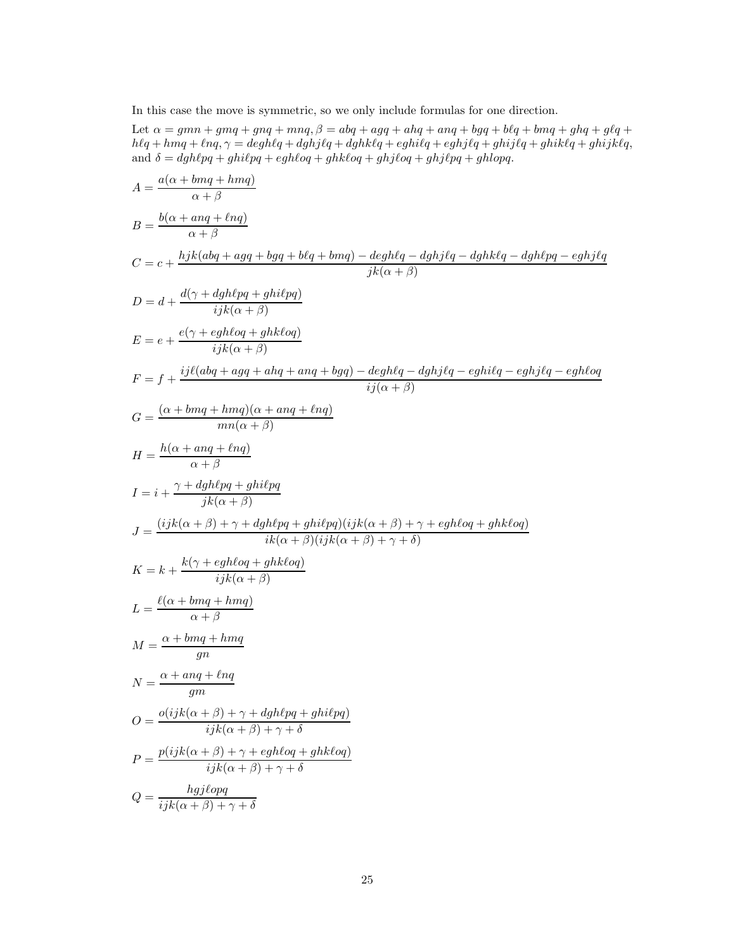In this case the move is symmetric, so we only include formulas for one direction.

Let  $\alpha=gmn+gmq+gnq+mnq, \beta=abq+agq+ahq+anq+bgq+blq+bmq+ghq+glq+$  $\label{eq:G1} h\ell q + hmq + \ell n q, \gamma = deg h\ell q + dg h j\ell q + dg h k\ell q + e g hi\ell q + e g h j\ell q + gh i j\ell q + gh i k\ell q + gh i j k\ell q,$ and  $\delta = dgh\ell pq + ghi\ell pq + egh\ell oq + ghk\ell oq + ghj\ell oq + ghj\ell pq + ghlopq.$ 

$$
A = \frac{a(\alpha + bmq + hmq)}{\alpha + \beta}
$$
  
\n
$$
B = \frac{b(\alpha + anq + \ln q)}{\alpha + \beta}
$$
  
\n
$$
C = c + \frac{hjk(abq + ag + bgq + b\ell q + bmq) - degh\ell q - dghj\ell q - dgh\ell q - dgh\ell pq - eghj\ell q}{jk(\alpha + \beta)}
$$
  
\n
$$
D = d + \frac{d(\gamma + dgh\ell pq + ghi\ell pq)}{ijk(\alpha + \beta)}
$$
  
\n
$$
E = e + \frac{e(\gamma + egh\ell oq + ghk\ell oq)}{ijk(\alpha + \beta)}
$$
  
\n
$$
F = f + \frac{ij\ell(abq + agq + ahq + ang + bgq) - degh\ell q - dghj\ell q - eghj\ell q - eghj\ell q - egh\ell oq}{ij(\alpha + \beta)}
$$
  
\n
$$
G = \frac{(\alpha + bmq + hmq)(\alpha + amq + \ell nq)}{mn(\alpha + \beta)}
$$
  
\n
$$
H = \frac{h(\alpha + anq + hnq)}{\alpha + \beta}
$$
  
\n
$$
I = i + \frac{\gamma + dgh\ell pq + ghi\ell pq}{jk(\alpha + \beta)}
$$
  
\n
$$
J = \frac{(ijk(\alpha + \beta) + \gamma + dgh\ell pq + ghi\ell pq)(ijk(\alpha + \beta) + \gamma + egh\ell oq + ghk\ell oq)}{ik(\alpha + \beta)(ijk(\alpha + \beta) + \gamma + \delta)}
$$
  
\n
$$
K = k + \frac{k(\gamma + egh\ell oq + ghk\ell oq)}{ijk(\alpha + \beta)}
$$
  
\n
$$
M = \frac{\alpha + bmq + hmq}{\alpha + \beta}
$$
  
\n
$$
M = \frac{\alpha + bmq + hmq}{gn}
$$
  
\n
$$
O = \frac{o(jjk(\alpha + \beta) + \gamma + dgh\ell pq + ghi\ell pq)}{ijk(\alpha + \beta) + \gamma + \delta}
$$
  
\n
$$
P = \frac{hjjk(\alpha + \beta) + \gamma + egh\ell oq + ghk\ell oq}{ijk(\alpha + \beta) + \gamma + \delta}
$$